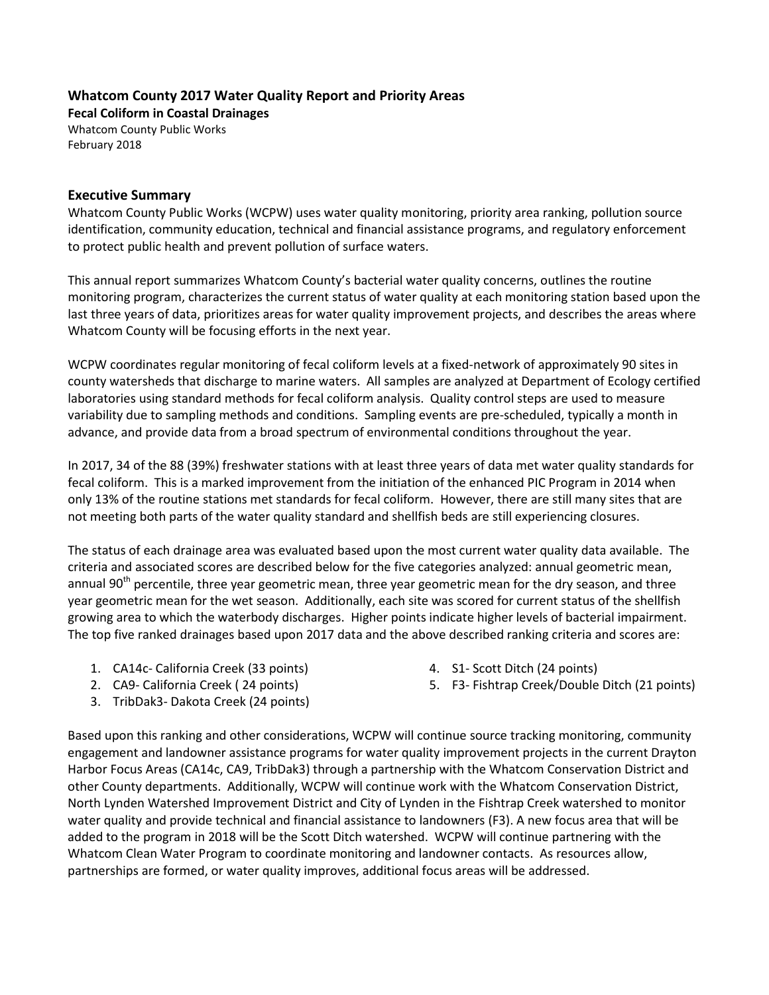## **Whatcom County 2017 Water Quality Report and Priority Areas**

**Fecal Coliform in Coastal Drainages** Whatcom County Public Works February 2018

## **Executive Summary**

Whatcom County Public Works (WCPW) uses water quality monitoring, priority area ranking, pollution source identification, community education, technical and financial assistance programs, and regulatory enforcement to protect public health and prevent pollution of surface waters.

This annual report summarizes Whatcom County's bacterial water quality concerns, outlines the routine monitoring program, characterizes the current status of water quality at each monitoring station based upon the last three years of data, prioritizes areas for water quality improvement projects, and describes the areas where Whatcom County will be focusing efforts in the next year.

WCPW coordinates regular monitoring of fecal coliform levels at a fixed-network of approximately 90 sites in county watersheds that discharge to marine waters. All samples are analyzed at Department of Ecology certified laboratories using standard methods for fecal coliform analysis. Quality control steps are used to measure variability due to sampling methods and conditions. Sampling events are pre-scheduled, typically a month in advance, and provide data from a broad spectrum of environmental conditions throughout the year.

In 2017, 34 of the 88 (39%) freshwater stations with at least three years of data met water quality standards for fecal coliform. This is a marked improvement from the initiation of the enhanced PIC Program in 2014 when only 13% of the routine stations met standards for fecal coliform. However, there are still many sites that are not meeting both parts of the water quality standard and shellfish beds are still experiencing closures.

The status of each drainage area was evaluated based upon the most current water quality data available. The criteria and associated scores are described below for the five categories analyzed: annual geometric mean, annual 90<sup>th</sup> percentile, three year geometric mean, three year geometric mean for the dry season, and three year geometric mean for the wet season. Additionally, each site was scored for current status of the shellfish growing area to which the waterbody discharges. Higher points indicate higher levels of bacterial impairment. The top five ranked drainages based upon 2017 data and the above described ranking criteria and scores are:

1. CA14c- California Creek (33 points)

4. S1- Scott Ditch (24 points)

2. CA9- California Creek ( 24 points)

3. TribDak3- Dakota Creek (24 points)

5. F3- Fishtrap Creek/Double Ditch (21 points)

Based upon this ranking and other considerations, WCPW will continue source tracking monitoring, community engagement and landowner assistance programs for water quality improvement projects in the current Drayton Harbor Focus Areas (CA14c, CA9, TribDak3) through a partnership with the Whatcom Conservation District and other County departments. Additionally, WCPW will continue work with the Whatcom Conservation District, North Lynden Watershed Improvement District and City of Lynden in the Fishtrap Creek watershed to monitor water quality and provide technical and financial assistance to landowners (F3). A new focus area that will be added to the program in 2018 will be the Scott Ditch watershed. WCPW will continue partnering with the Whatcom Clean Water Program to coordinate monitoring and landowner contacts. As resources allow, partnerships are formed, or water quality improves, additional focus areas will be addressed.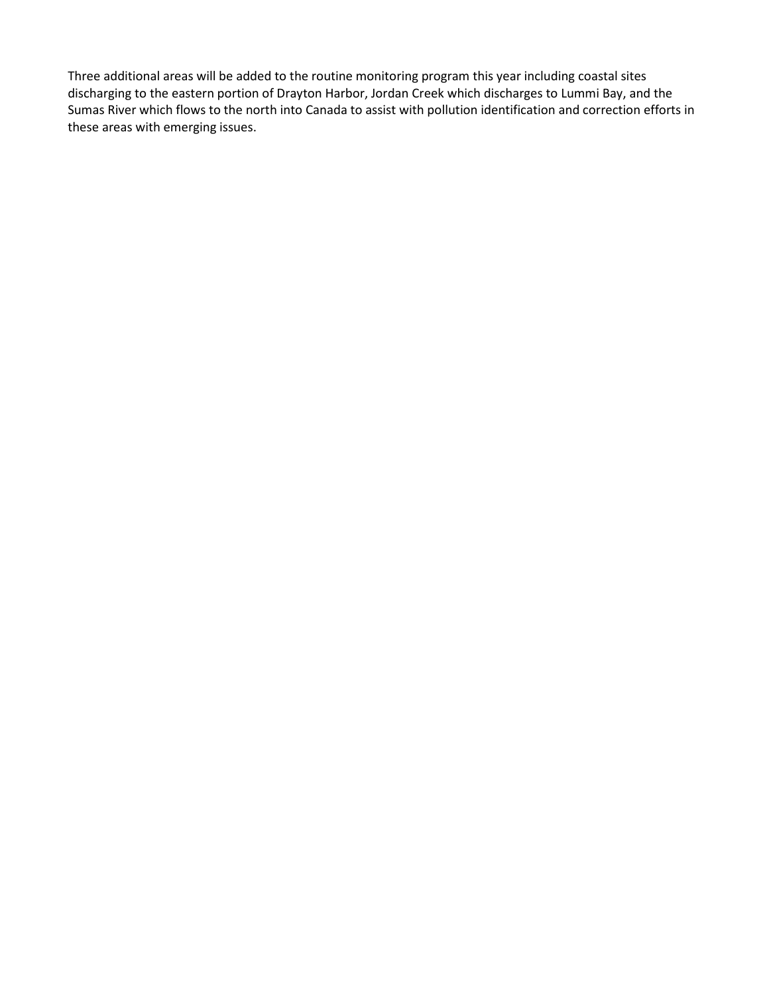Three additional areas will be added to the routine monitoring program this year including coastal sites discharging to the eastern portion of Drayton Harbor, Jordan Creek which discharges to Lummi Bay, and the Sumas River which flows to the north into Canada to assist with pollution identification and correction efforts in these areas with emerging issues.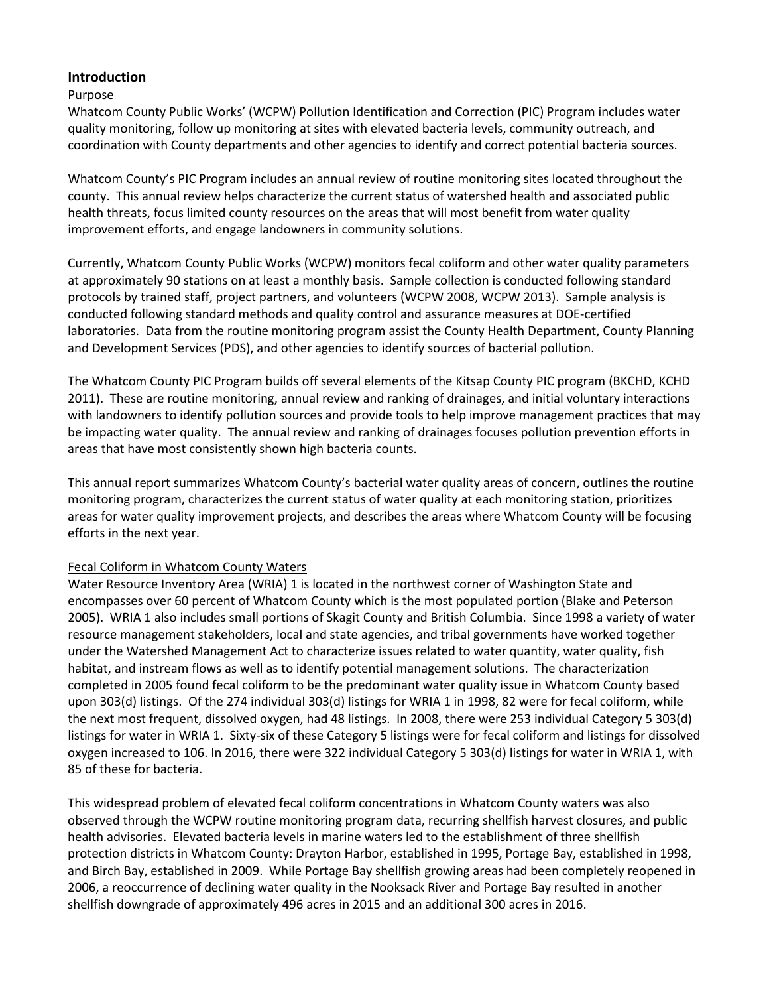## **Introduction**

## Purpose

Whatcom County Public Works' (WCPW) Pollution Identification and Correction (PIC) Program includes water quality monitoring, follow up monitoring at sites with elevated bacteria levels, community outreach, and coordination with County departments and other agencies to identify and correct potential bacteria sources.

Whatcom County's PIC Program includes an annual review of routine monitoring sites located throughout the county. This annual review helps characterize the current status of watershed health and associated public health threats, focus limited county resources on the areas that will most benefit from water quality improvement efforts, and engage landowners in community solutions.

Currently, Whatcom County Public Works (WCPW) monitors fecal coliform and other water quality parameters at approximately 90 stations on at least a monthly basis. Sample collection is conducted following standard protocols by trained staff, project partners, and volunteers (WCPW 2008, WCPW 2013). Sample analysis is conducted following standard methods and quality control and assurance measures at DOE-certified laboratories. Data from the routine monitoring program assist the County Health Department, County Planning and Development Services (PDS), and other agencies to identify sources of bacterial pollution.

The Whatcom County PIC Program builds off several elements of the Kitsap County PIC program (BKCHD, KCHD 2011). These are routine monitoring, annual review and ranking of drainages, and initial voluntary interactions with landowners to identify pollution sources and provide tools to help improve management practices that may be impacting water quality. The annual review and ranking of drainages focuses pollution prevention efforts in areas that have most consistently shown high bacteria counts.

This annual report summarizes Whatcom County's bacterial water quality areas of concern, outlines the routine monitoring program, characterizes the current status of water quality at each monitoring station, prioritizes areas for water quality improvement projects, and describes the areas where Whatcom County will be focusing efforts in the next year.

## Fecal Coliform in Whatcom County Waters

Water Resource Inventory Area (WRIA) 1 is located in the northwest corner of Washington State and encompasses over 60 percent of Whatcom County which is the most populated portion (Blake and Peterson 2005). WRIA 1 also includes small portions of Skagit County and British Columbia. Since 1998 a variety of water resource management stakeholders, local and state agencies, and tribal governments have worked together under the Watershed Management Act to characterize issues related to water quantity, water quality, fish habitat, and instream flows as well as to identify potential management solutions. The characterization completed in 2005 found fecal coliform to be the predominant water quality issue in Whatcom County based upon 303(d) listings. Of the 274 individual 303(d) listings for WRIA 1 in 1998, 82 were for fecal coliform, while the next most frequent, dissolved oxygen, had 48 listings. In 2008, there were 253 individual Category 5 303(d) listings for water in WRIA 1. Sixty-six of these Category 5 listings were for fecal coliform and listings for dissolved oxygen increased to 106. In 2016, there were 322 individual Category 5 303(d) listings for water in WRIA 1, with 85 of these for bacteria.

This widespread problem of elevated fecal coliform concentrations in Whatcom County waters was also observed through the WCPW routine monitoring program data, recurring shellfish harvest closures, and public health advisories. Elevated bacteria levels in marine waters led to the establishment of three shellfish protection districts in Whatcom County: Drayton Harbor, established in 1995, Portage Bay, established in 1998, and Birch Bay, established in 2009. While Portage Bay shellfish growing areas had been completely reopened in 2006, a reoccurrence of declining water quality in the Nooksack River and Portage Bay resulted in another shellfish downgrade of approximately 496 acres in 2015 and an additional 300 acres in 2016.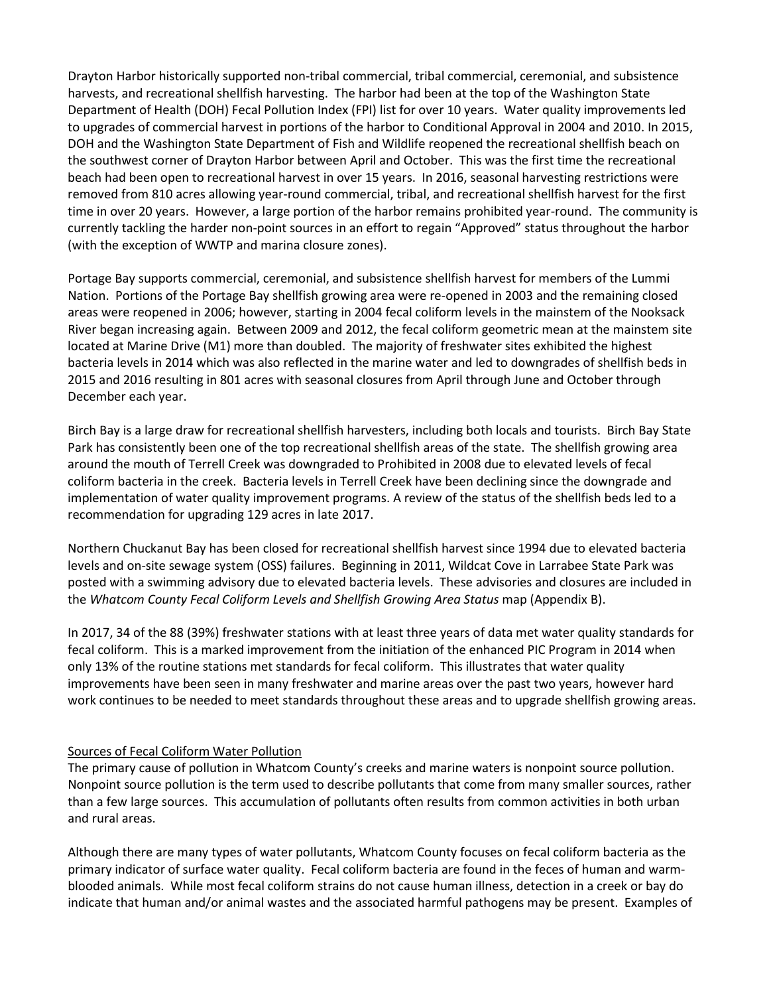Drayton Harbor historically supported non-tribal commercial, tribal commercial, ceremonial, and subsistence harvests, and recreational shellfish harvesting. The harbor had been at the top of the Washington State Department of Health (DOH) Fecal Pollution Index (FPI) list for over 10 years. Water quality improvements led to upgrades of commercial harvest in portions of the harbor to Conditional Approval in 2004 and 2010. In 2015, DOH and the Washington State Department of Fish and Wildlife reopened the recreational shellfish beach on the southwest corner of Drayton Harbor between April and October. This was the first time the recreational beach had been open to recreational harvest in over 15 years. In 2016, seasonal harvesting restrictions were removed from 810 acres allowing year-round commercial, tribal, and recreational shellfish harvest for the first time in over 20 years. However, a large portion of the harbor remains prohibited year-round. The community is currently tackling the harder non-point sources in an effort to regain "Approved" status throughout the harbor (with the exception of WWTP and marina closure zones).

Portage Bay supports commercial, ceremonial, and subsistence shellfish harvest for members of the Lummi Nation. Portions of the Portage Bay shellfish growing area were re-opened in 2003 and the remaining closed areas were reopened in 2006; however, starting in 2004 fecal coliform levels in the mainstem of the Nooksack River began increasing again. Between 2009 and 2012, the fecal coliform geometric mean at the mainstem site located at Marine Drive (M1) more than doubled. The majority of freshwater sites exhibited the highest bacteria levels in 2014 which was also reflected in the marine water and led to downgrades of shellfish beds in 2015 and 2016 resulting in 801 acres with seasonal closures from April through June and October through December each year.

Birch Bay is a large draw for recreational shellfish harvesters, including both locals and tourists. Birch Bay State Park has consistently been one of the top recreational shellfish areas of the state. The shellfish growing area around the mouth of Terrell Creek was downgraded to Prohibited in 2008 due to elevated levels of fecal coliform bacteria in the creek. Bacteria levels in Terrell Creek have been declining since the downgrade and implementation of water quality improvement programs. A review of the status of the shellfish beds led to a recommendation for upgrading 129 acres in late 2017.

Northern Chuckanut Bay has been closed for recreational shellfish harvest since 1994 due to elevated bacteria levels and on-site sewage system (OSS) failures. Beginning in 2011, Wildcat Cove in Larrabee State Park was posted with a swimming advisory due to elevated bacteria levels. These advisories and closures are included in the *Whatcom County Fecal Coliform Levels and Shellfish Growing Area Status* map (Appendix B).

In 2017, 34 of the 88 (39%) freshwater stations with at least three years of data met water quality standards for fecal coliform. This is a marked improvement from the initiation of the enhanced PIC Program in 2014 when only 13% of the routine stations met standards for fecal coliform. This illustrates that water quality improvements have been seen in many freshwater and marine areas over the past two years, however hard work continues to be needed to meet standards throughout these areas and to upgrade shellfish growing areas.

## Sources of Fecal Coliform Water Pollution

The primary cause of pollution in Whatcom County's creeks and marine waters is nonpoint source pollution. Nonpoint source pollution is the term used to describe pollutants that come from many smaller sources, rather than a few large sources. This accumulation of pollutants often results from common activities in both urban and rural areas.

Although there are many types of water pollutants, Whatcom County focuses on fecal coliform bacteria as the primary indicator of surface water quality. Fecal coliform bacteria are found in the feces of human and warmblooded animals. While most fecal coliform strains do not cause human illness, detection in a creek or bay do indicate that human and/or animal wastes and the associated harmful pathogens may be present. Examples of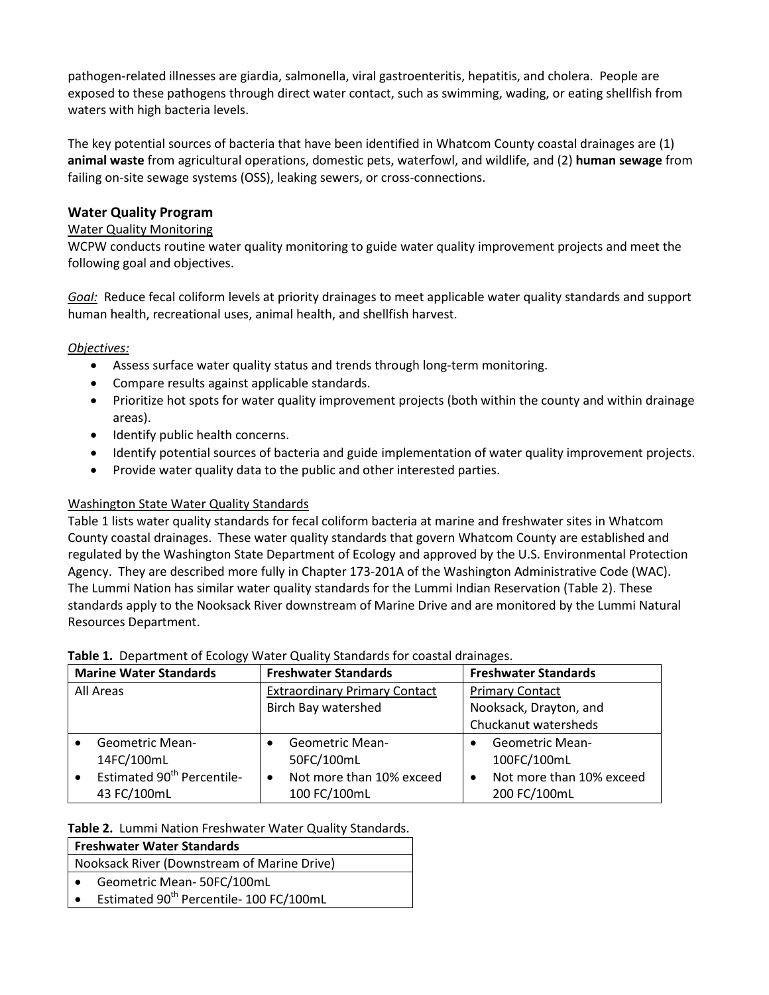pathogen-related illnesses are giardia, salmonella, viral gastroenteritis, hepatitis, and cholera. People are exposed to these pathogens through direct water contact, such as swimming, wading, or eating shellfish from waters with high bacteria levels.

The key potential sources of bacteria that have been identified in Whatcom County coastal drainages are (1) **animal waste** from agricultural operations, domestic pets, waterfowl, and wildlife, and (2) **human sewage** from failing on-site sewage systems (OSS), leaking sewers, or cross-connections.

## **Water Quality Program**

## Water Quality Monitoring

WCPW conducts routine water quality monitoring to guide water quality improvement projects and meet the following goal and objectives.

*Goal:* Reduce fecal coliform levels at priority drainages to meet applicable water quality standards and support human health, recreational uses, animal health, and shellfish harvest.

## *Objectives:*

- Assess surface water quality status and trends through long-term monitoring.
- Compare results against applicable standards.
- Prioritize hot spots for water quality improvement projects (both within the county and within drainage areas).
- Identify public health concerns.
- Identify potential sources of bacteria and guide implementation of water quality improvement projects.
- Provide water quality data to the public and other interested parties.

## Washington State Water Quality Standards

Table 1 lists water quality standards for fecal coliform bacteria at marine and freshwater sites in Whatcom County coastal drainages. These water quality standards that govern Whatcom County are established and regulated by the Washington State Department of Ecology and approved by the U.S. Environmental Protection Agency. They are described more fully in Chapter 173-201A of the Washington Administrative Code (WAC). The Lummi Nation has similar water quality standards for the Lummi Indian Reservation (Table 2). These standards apply to the Nooksack River downstream of Marine Drive and are monitored by the Lummi Natural Resources Department.

|  | Table 1. Department of Ecology Water Quality Standards for coastal drainages. |  |  |  |  |  |  |
|--|-------------------------------------------------------------------------------|--|--|--|--|--|--|
|--|-------------------------------------------------------------------------------|--|--|--|--|--|--|

| <b>Marine Water Standards</b> |                                        |  | <b>Freshwater Standards</b>          | <b>Freshwater Standards</b> |                          |  |  |
|-------------------------------|----------------------------------------|--|--------------------------------------|-----------------------------|--------------------------|--|--|
| All Areas                     |                                        |  | <b>Extraordinary Primary Contact</b> | <b>Primary Contact</b>      |                          |  |  |
|                               |                                        |  | <b>Birch Bay watershed</b>           | Nooksack, Drayton, and      |                          |  |  |
|                               |                                        |  |                                      |                             | Chuckanut watersheds     |  |  |
|                               | <b>Geometric Mean-</b>                 |  | Geometric Mean-                      |                             | <b>Geometric Mean-</b>   |  |  |
|                               | 14FC/100mL                             |  | 50FC/100mL                           |                             | 100FC/100mL              |  |  |
|                               | Estimated 90 <sup>th</sup> Percentile- |  | Not more than 10% exceed             |                             | Not more than 10% exceed |  |  |
|                               | 43 FC/100mL                            |  | 100 FC/100mL                         |                             | 200 FC/100mL             |  |  |

## **Table 2.** Lummi Nation Freshwater Water Quality Standards.

| <b>Freshwater Water Standards</b>                                |  |  |  |  |  |  |  |  |
|------------------------------------------------------------------|--|--|--|--|--|--|--|--|
| Nooksack River (Downstream of Marine Drive)                      |  |  |  |  |  |  |  |  |
| Geometric Mean-50FC/100mL                                        |  |  |  |  |  |  |  |  |
| Estimated 90 <sup>th</sup> Percentile- 100 FC/100mL<br>$\bullet$ |  |  |  |  |  |  |  |  |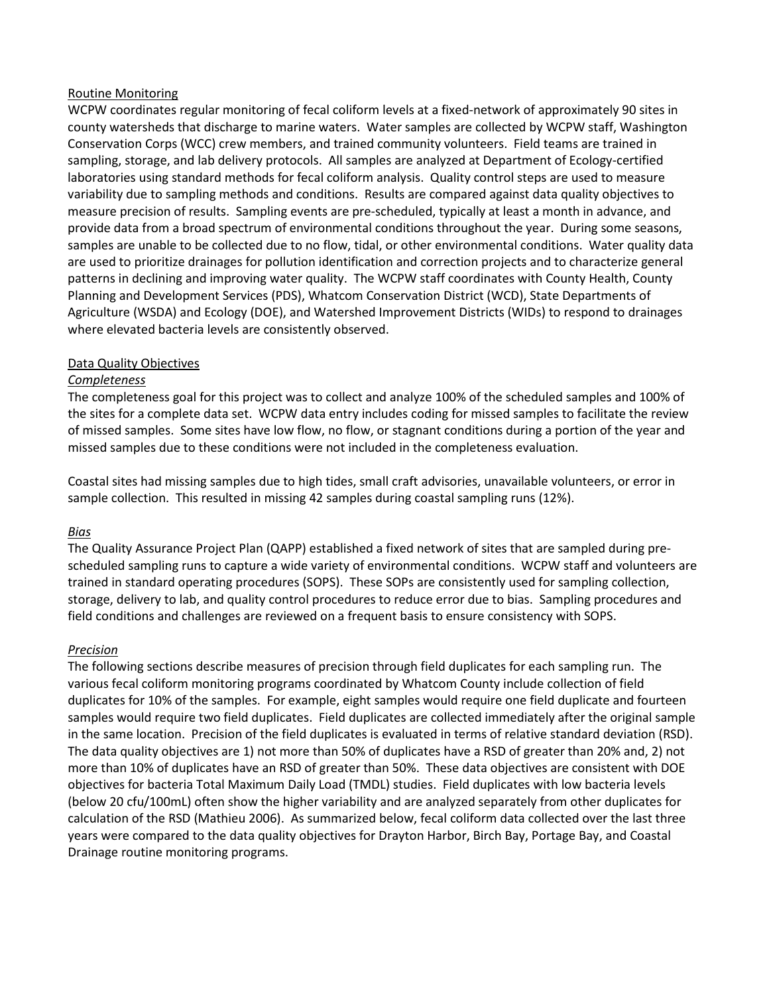#### Routine Monitoring

WCPW coordinates regular monitoring of fecal coliform levels at a fixed-network of approximately 90 sites in county watersheds that discharge to marine waters. Water samples are collected by WCPW staff, Washington Conservation Corps (WCC) crew members, and trained community volunteers. Field teams are trained in sampling, storage, and lab delivery protocols. All samples are analyzed at Department of Ecology-certified laboratories using standard methods for fecal coliform analysis. Quality control steps are used to measure variability due to sampling methods and conditions. Results are compared against data quality objectives to measure precision of results. Sampling events are pre-scheduled, typically at least a month in advance, and provide data from a broad spectrum of environmental conditions throughout the year. During some seasons, samples are unable to be collected due to no flow, tidal, or other environmental conditions. Water quality data are used to prioritize drainages for pollution identification and correction projects and to characterize general patterns in declining and improving water quality. The WCPW staff coordinates with County Health, County Planning and Development Services (PDS), Whatcom Conservation District (WCD), State Departments of Agriculture (WSDA) and Ecology (DOE), and Watershed Improvement Districts (WIDs) to respond to drainages where elevated bacteria levels are consistently observed.

#### Data Quality Objectives

## *Completeness*

The completeness goal for this project was to collect and analyze 100% of the scheduled samples and 100% of the sites for a complete data set. WCPW data entry includes coding for missed samples to facilitate the review of missed samples. Some sites have low flow, no flow, or stagnant conditions during a portion of the year and missed samples due to these conditions were not included in the completeness evaluation.

Coastal sites had missing samples due to high tides, small craft advisories, unavailable volunteers, or error in sample collection. This resulted in missing 42 samples during coastal sampling runs (12%).

## *Bias*

The Quality Assurance Project Plan (QAPP) established a fixed network of sites that are sampled during prescheduled sampling runs to capture a wide variety of environmental conditions. WCPW staff and volunteers are trained in standard operating procedures (SOPS). These SOPs are consistently used for sampling collection, storage, delivery to lab, and quality control procedures to reduce error due to bias. Sampling procedures and field conditions and challenges are reviewed on a frequent basis to ensure consistency with SOPS.

#### *Precision*

The following sections describe measures of precision through field duplicates for each sampling run. The various fecal coliform monitoring programs coordinated by Whatcom County include collection of field duplicates for 10% of the samples. For example, eight samples would require one field duplicate and fourteen samples would require two field duplicates. Field duplicates are collected immediately after the original sample in the same location. Precision of the field duplicates is evaluated in terms of relative standard deviation (RSD). The data quality objectives are 1) not more than 50% of duplicates have a RSD of greater than 20% and, 2) not more than 10% of duplicates have an RSD of greater than 50%. These data objectives are consistent with DOE objectives for bacteria Total Maximum Daily Load (TMDL) studies. Field duplicates with low bacteria levels (below 20 cfu/100mL) often show the higher variability and are analyzed separately from other duplicates for calculation of the RSD (Mathieu 2006). As summarized below, fecal coliform data collected over the last three years were compared to the data quality objectives for Drayton Harbor, Birch Bay, Portage Bay, and Coastal Drainage routine monitoring programs.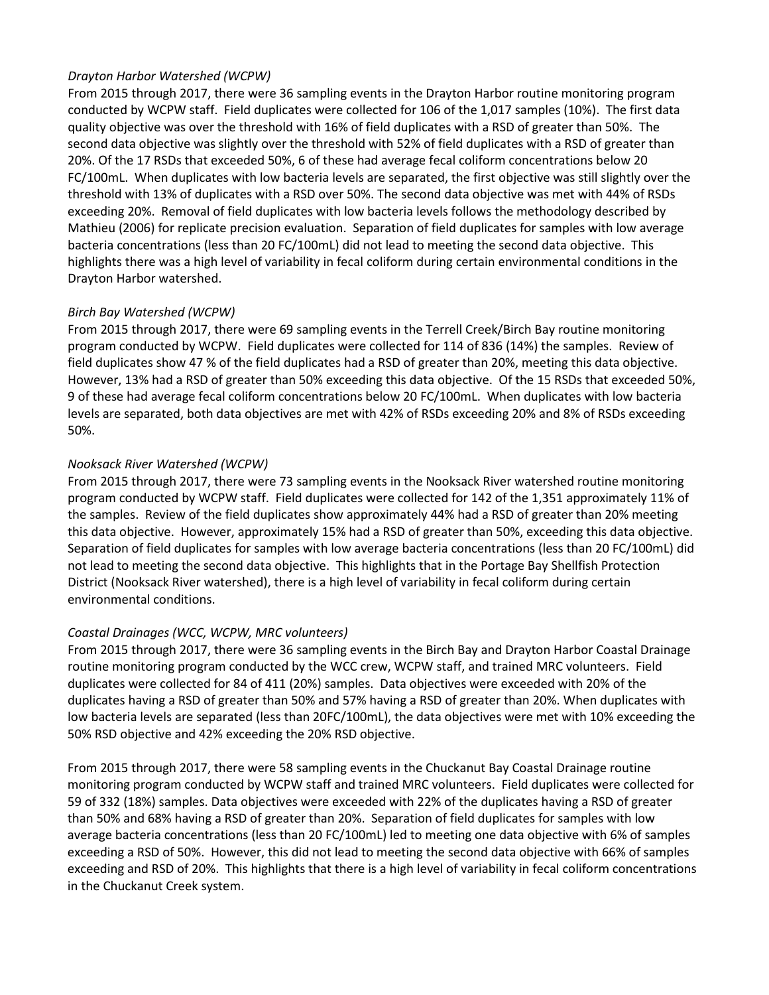## *Drayton Harbor Watershed (WCPW)*

From 2015 through 2017, there were 36 sampling events in the Drayton Harbor routine monitoring program conducted by WCPW staff. Field duplicates were collected for 106 of the 1,017 samples (10%). The first data quality objective was over the threshold with 16% of field duplicates with a RSD of greater than 50%. The second data objective was slightly over the threshold with 52% of field duplicates with a RSD of greater than 20%. Of the 17 RSDs that exceeded 50%, 6 of these had average fecal coliform concentrations below 20 FC/100mL. When duplicates with low bacteria levels are separated, the first objective was still slightly over the threshold with 13% of duplicates with a RSD over 50%. The second data objective was met with 44% of RSDs exceeding 20%. Removal of field duplicates with low bacteria levels follows the methodology described by Mathieu (2006) for replicate precision evaluation. Separation of field duplicates for samples with low average bacteria concentrations (less than 20 FC/100mL) did not lead to meeting the second data objective. This highlights there was a high level of variability in fecal coliform during certain environmental conditions in the Drayton Harbor watershed.

## *Birch Bay Watershed (WCPW)*

From 2015 through 2017, there were 69 sampling events in the Terrell Creek/Birch Bay routine monitoring program conducted by WCPW. Field duplicates were collected for 114 of 836 (14%) the samples. Review of field duplicates show 47 % of the field duplicates had a RSD of greater than 20%, meeting this data objective. However, 13% had a RSD of greater than 50% exceeding this data objective. Of the 15 RSDs that exceeded 50%, 9 of these had average fecal coliform concentrations below 20 FC/100mL. When duplicates with low bacteria levels are separated, both data objectives are met with 42% of RSDs exceeding 20% and 8% of RSDs exceeding 50%.

## *Nooksack River Watershed (WCPW)*

From 2015 through 2017, there were 73 sampling events in the Nooksack River watershed routine monitoring program conducted by WCPW staff. Field duplicates were collected for 142 of the 1,351 approximately 11% of the samples. Review of the field duplicates show approximately 44% had a RSD of greater than 20% meeting this data objective. However, approximately 15% had a RSD of greater than 50%, exceeding this data objective. Separation of field duplicates for samples with low average bacteria concentrations (less than 20 FC/100mL) did not lead to meeting the second data objective. This highlights that in the Portage Bay Shellfish Protection District (Nooksack River watershed), there is a high level of variability in fecal coliform during certain environmental conditions.

## *Coastal Drainages (WCC, WCPW, MRC volunteers)*

From 2015 through 2017, there were 36 sampling events in the Birch Bay and Drayton Harbor Coastal Drainage routine monitoring program conducted by the WCC crew, WCPW staff, and trained MRC volunteers. Field duplicates were collected for 84 of 411 (20%) samples. Data objectives were exceeded with 20% of the duplicates having a RSD of greater than 50% and 57% having a RSD of greater than 20%. When duplicates with low bacteria levels are separated (less than 20FC/100mL), the data objectives were met with 10% exceeding the 50% RSD objective and 42% exceeding the 20% RSD objective.

From 2015 through 2017, there were 58 sampling events in the Chuckanut Bay Coastal Drainage routine monitoring program conducted by WCPW staff and trained MRC volunteers. Field duplicates were collected for 59 of 332 (18%) samples. Data objectives were exceeded with 22% of the duplicates having a RSD of greater than 50% and 68% having a RSD of greater than 20%. Separation of field duplicates for samples with low average bacteria concentrations (less than 20 FC/100mL) led to meeting one data objective with 6% of samples exceeding a RSD of 50%. However, this did not lead to meeting the second data objective with 66% of samples exceeding and RSD of 20%. This highlights that there is a high level of variability in fecal coliform concentrations in the Chuckanut Creek system.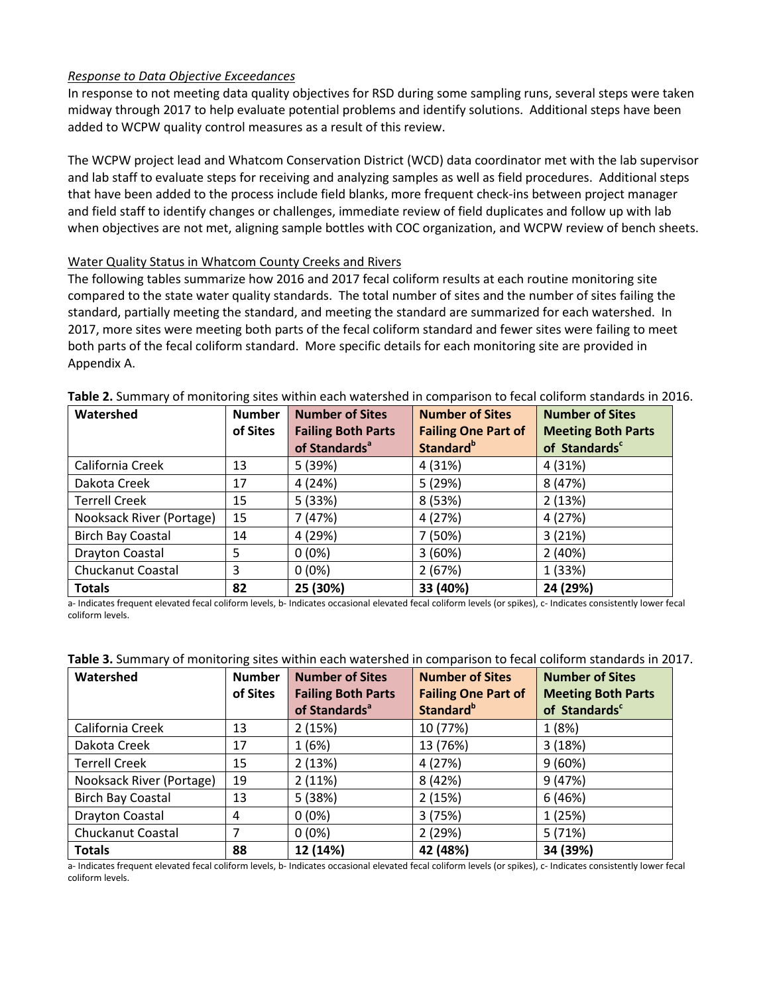## *Response to Data Objective Exceedances*

In response to not meeting data quality objectives for RSD during some sampling runs, several steps were taken midway through 2017 to help evaluate potential problems and identify solutions. Additional steps have been added to WCPW quality control measures as a result of this review.

The WCPW project lead and Whatcom Conservation District (WCD) data coordinator met with the lab supervisor and lab staff to evaluate steps for receiving and analyzing samples as well as field procedures. Additional steps that have been added to the process include field blanks, more frequent check-ins between project manager and field staff to identify changes or challenges, immediate review of field duplicates and follow up with lab when objectives are not met, aligning sample bottles with COC organization, and WCPW review of bench sheets.

## Water Quality Status in Whatcom County Creeks and Rivers

The following tables summarize how 2016 and 2017 fecal coliform results at each routine monitoring site compared to the state water quality standards. The total number of sites and the number of sites failing the standard, partially meeting the standard, and meeting the standard are summarized for each watershed. In 2017, more sites were meeting both parts of the fecal coliform standard and fewer sites were failing to meet both parts of the fecal coliform standard. More specific details for each monitoring site are provided in Appendix A.

| Watershed                | <b>Number</b> | <b>Number of Sites</b>    | <b>Number of Sites</b>       | <b>Number of Sites</b>    |
|--------------------------|---------------|---------------------------|------------------------------|---------------------------|
|                          | of Sites      | <b>Failing Both Parts</b> | <b>Failing One Part of</b>   | <b>Meeting Both Parts</b> |
|                          |               | of Standards <sup>a</sup> | <b>Standard</b> <sup>b</sup> | of Standards <sup>c</sup> |
| California Creek         | 13            | 5 (39%)                   | 4 (31%)                      | 4 (31%)                   |
| Dakota Creek             | 17            | 4 (24%)                   | 5 (29%)                      | 8 (47%)                   |
| <b>Terrell Creek</b>     | 15            | 5(33%)                    | 8 (53%)                      | 2(13%)                    |
| Nooksack River (Portage) | 15            | 7 (47%)                   | 4 (27%)                      | 4 (27%)                   |
| <b>Birch Bay Coastal</b> | 14            | 4 (29%)                   | 7 (50%)                      | 3(21%)                    |
| Drayton Coastal          | 5             | $0(0\%)$                  | 3(60%)                       | 2(40%)                    |
| Chuckanut Coastal        | 3             | $0(0\%)$                  | 2(67%)                       | 1 (33%)                   |
| <b>Totals</b>            | 82            | 25 (30%)                  | 33 (40%)                     | 24 (29%)                  |

**Table 2.** Summary of monitoring sites within each watershed in comparison to fecal coliform standards in 2016.

a- Indicates frequent elevated fecal coliform levels, b- Indicates occasional elevated fecal coliform levels (or spikes), c- Indicates consistently lower fecal coliform levels.

| Watershed                | <b>Number</b> | <b>Number of Sites</b>    | <b>Number of Sites</b>     | <b>Number of Sites</b>    |  |  |
|--------------------------|---------------|---------------------------|----------------------------|---------------------------|--|--|
|                          | of Sites      | <b>Failing Both Parts</b> | <b>Failing One Part of</b> | <b>Meeting Both Parts</b> |  |  |
|                          |               | of Standards <sup>a</sup> | Standard <sup>b</sup>      | of Standards <sup>c</sup> |  |  |
| California Creek         | 13            | 2(15%)                    | 10 (77%)                   | 1(8%)                     |  |  |
| Dakota Creek             | 17            | 1(6%)                     | 13 (76%)                   | 3(18%)                    |  |  |
| <b>Terrell Creek</b>     | 15            | 2(13%)                    | 4 (27%)                    | 9(60%)                    |  |  |
| Nooksack River (Portage) | 19            | 2(11%)                    | 8 (42%)                    | 9(47%)                    |  |  |
| <b>Birch Bay Coastal</b> | 13            | 5(38%)                    | 2(15%)                     | 6(46%)                    |  |  |
| <b>Drayton Coastal</b>   | 4             | $0(0\%)$                  | 3(75%)                     | 1(25%)                    |  |  |
| Chuckanut Coastal        | 7             | $0(0\%)$                  | 2(29%)                     | 5(71%)                    |  |  |
| <b>Totals</b>            | 88            | 12 (14%)                  | 42 (48%)                   | 34 (39%)                  |  |  |

#### **Table 3.** Summary of monitoring sites within each watershed in comparison to fecal coliform standards in 2017.

a- Indicates frequent elevated fecal coliform levels, b- Indicates occasional elevated fecal coliform levels (or spikes), c- Indicates consistently lower fecal coliform levels.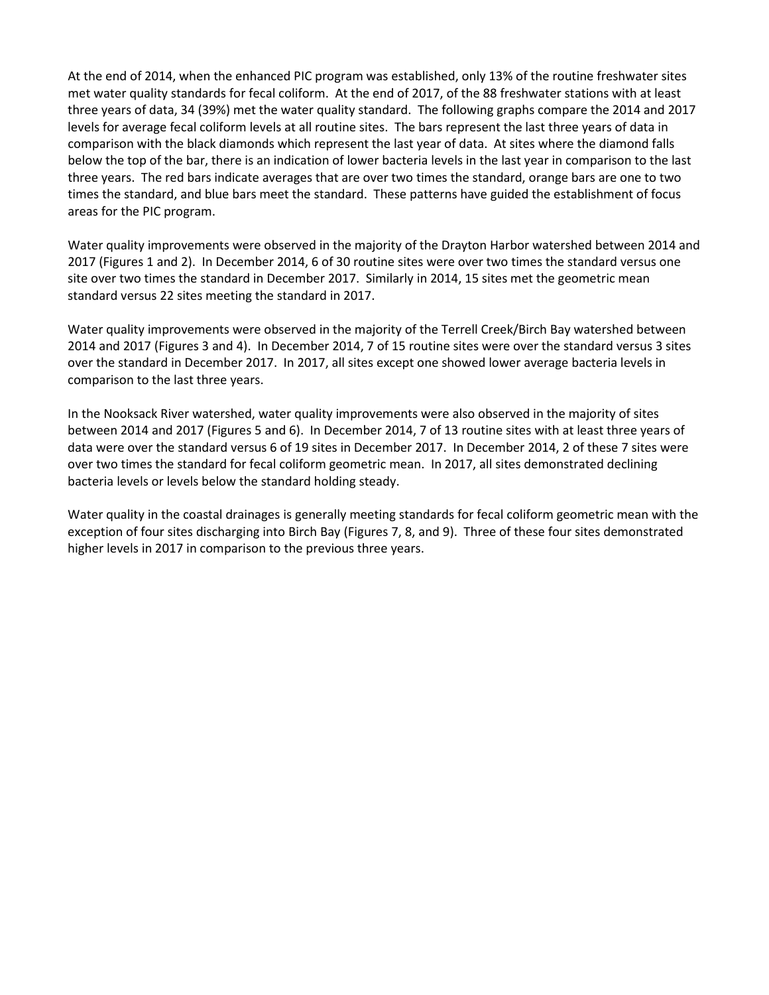At the end of 2014, when the enhanced PIC program was established, only 13% of the routine freshwater sites met water quality standards for fecal coliform. At the end of 2017, of the 88 freshwater stations with at least three years of data, 34 (39%) met the water quality standard. The following graphs compare the 2014 and 2017 levels for average fecal coliform levels at all routine sites. The bars represent the last three years of data in comparison with the black diamonds which represent the last year of data. At sites where the diamond falls below the top of the bar, there is an indication of lower bacteria levels in the last year in comparison to the last three years. The red bars indicate averages that are over two times the standard, orange bars are one to two times the standard, and blue bars meet the standard. These patterns have guided the establishment of focus areas for the PIC program.

Water quality improvements were observed in the majority of the Drayton Harbor watershed between 2014 and 2017 (Figures 1 and 2). In December 2014, 6 of 30 routine sites were over two times the standard versus one site over two times the standard in December 2017. Similarly in 2014, 15 sites met the geometric mean standard versus 22 sites meeting the standard in 2017.

Water quality improvements were observed in the majority of the Terrell Creek/Birch Bay watershed between 2014 and 2017 (Figures 3 and 4). In December 2014, 7 of 15 routine sites were over the standard versus 3 sites over the standard in December 2017. In 2017, all sites except one showed lower average bacteria levels in comparison to the last three years.

In the Nooksack River watershed, water quality improvements were also observed in the majority of sites between 2014 and 2017 (Figures 5 and 6). In December 2014, 7 of 13 routine sites with at least three years of data were over the standard versus 6 of 19 sites in December 2017. In December 2014, 2 of these 7 sites were over two times the standard for fecal coliform geometric mean. In 2017, all sites demonstrated declining bacteria levels or levels below the standard holding steady.

Water quality in the coastal drainages is generally meeting standards for fecal coliform geometric mean with the exception of four sites discharging into Birch Bay (Figures 7, 8, and 9). Three of these four sites demonstrated higher levels in 2017 in comparison to the previous three years.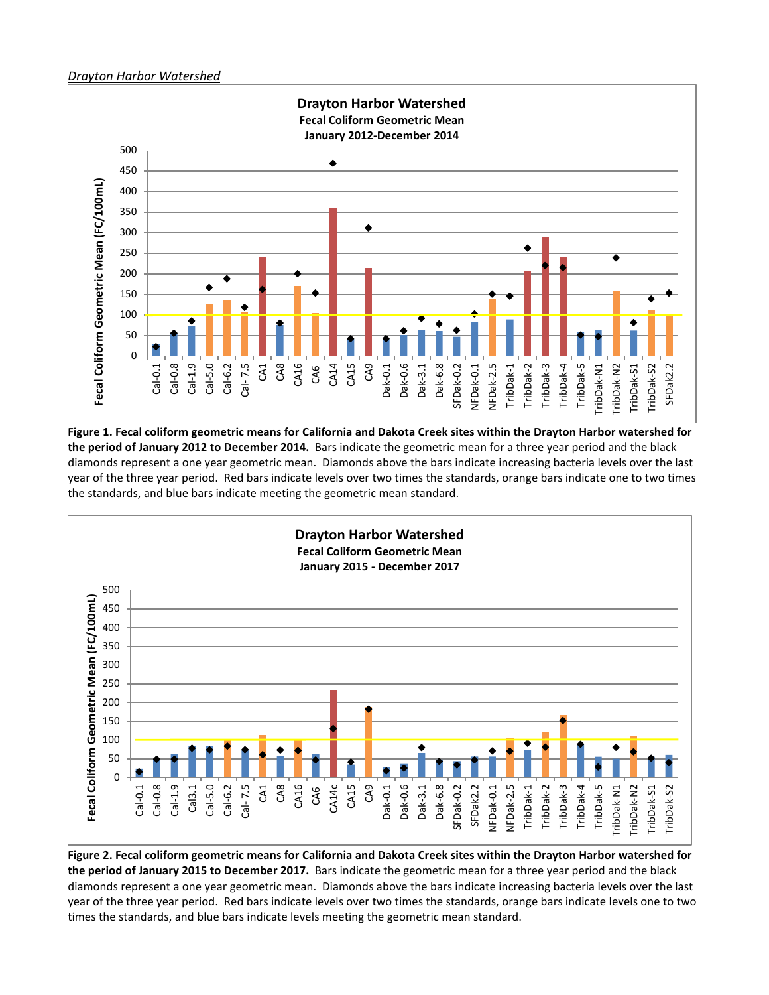#### *Drayton Harbor Watershed*



**Figure 1. Fecal coliform geometric means for California and Dakota Creek sites within the Drayton Harbor watershed for**  the period of January 2012 to December 2014. Bars indicate the geometric mean for a three year period and the black diamonds represent a one year geometric mean. Diamonds above the bars indicate increasing bacteria levels over the last year of the three year period. Red bars indicate levels over two times the standards, orange bars indicate one to two times the standards, and blue bars indicate meeting the geometric mean standard.



**Figure 2. Fecal coliform geometric means for California and Dakota Creek sites within the Drayton Harbor watershed for**  the period of January 2015 to December 2017. Bars indicate the geometric mean for a three year period and the black diamonds represent a one year geometric mean. Diamonds above the bars indicate increasing bacteria levels over the last year of the three year period. Red bars indicate levels over two times the standards, orange bars indicate levels one to two times the standards, and blue bars indicate levels meeting the geometric mean standard.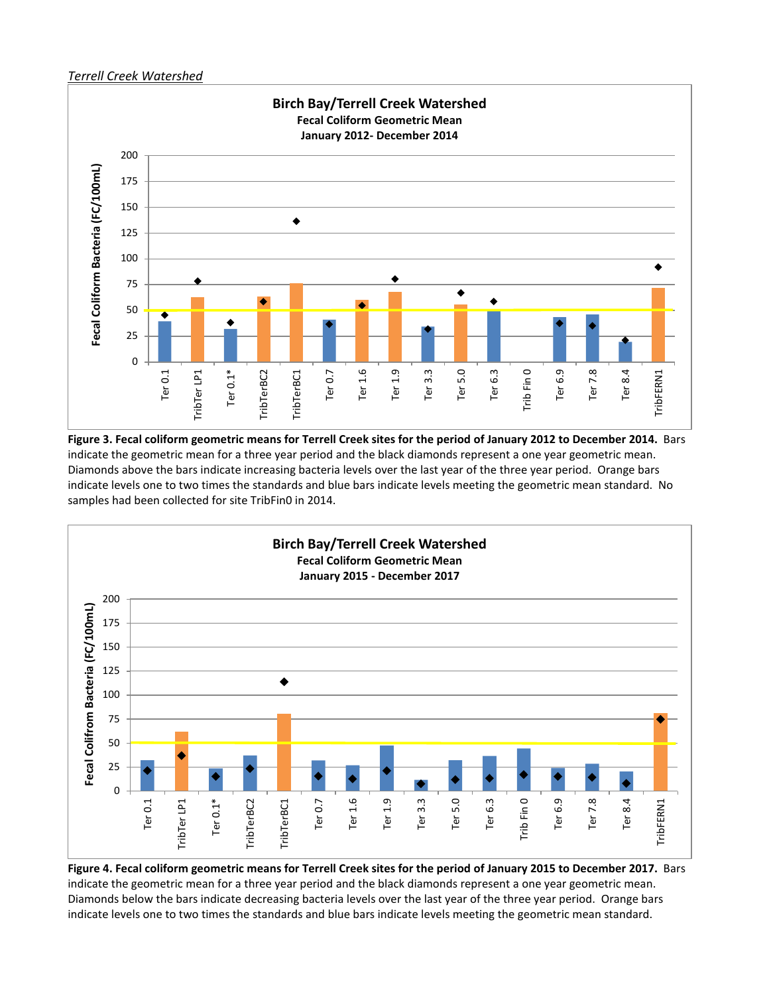#### *Terrell Creek Watershed*



**Figure 3. Fecal coliform geometric means for Terrell Creek sites for the period of January 2012 to December 2014.**Bars indicate the geometric mean for a three year period and the black diamonds represent a one year geometric mean. Diamonds above the bars indicate increasing bacteria levels over the last year of the three year period. Orange bars indicate levels one to two times the standards and blue bars indicate levels meeting the geometric mean standard. No samples had been collected for site TribFin0 in 2014.



**Figure 4. Fecal coliform geometric means for Terrell Creek sites for the period of January 2015 to December 2017.**Bars indicate the geometric mean for a three year period and the black diamonds represent a one year geometric mean. Diamonds below the bars indicate decreasing bacteria levels over the last year of the three year period. Orange bars indicate levels one to two times the standards and blue bars indicate levels meeting the geometric mean standard.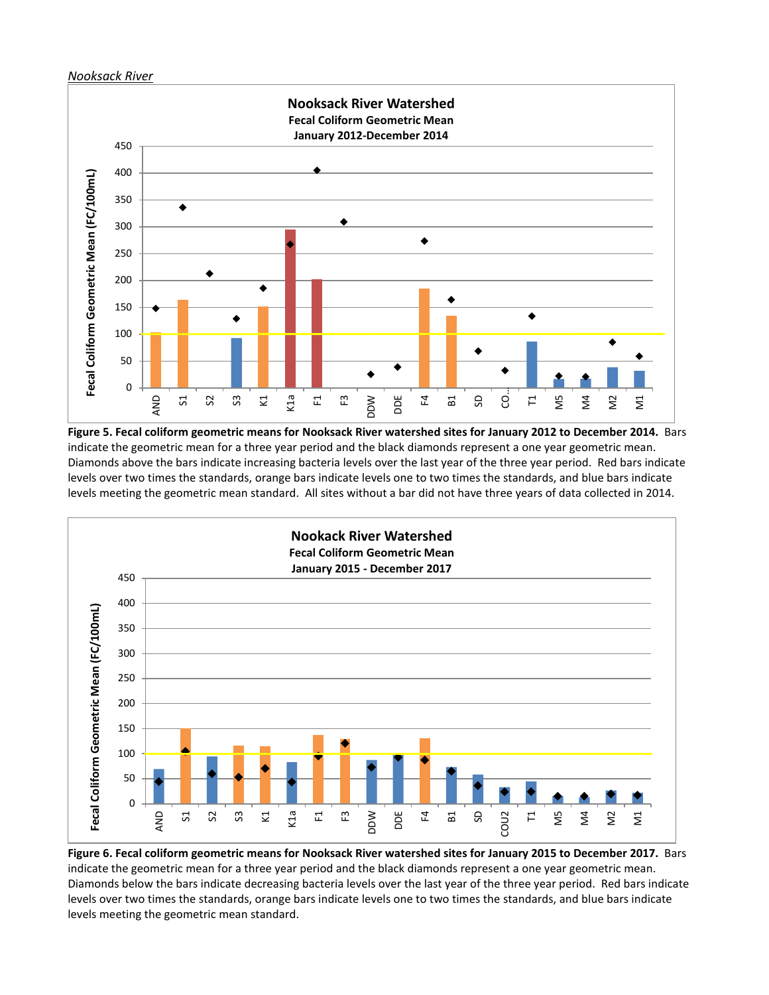#### *Nooksack River*



**Figure 5. Fecal coliform geometric means for Nooksack River watershed sites for January 2012 to December 2014.**Bars indicate the geometric mean for a three year period and the black diamonds represent a one year geometric mean. Diamonds above the bars indicate increasing bacteria levels over the last year of the three year period. Red bars indicate levels over two times the standards, orange bars indicate levels one to two times the standards, and blue bars indicate levels meeting the geometric mean standard. All sites without a bar did not have three years of data collected in 2014.



**Figure 6. Fecal coliform geometric means for Nooksack River watershed sites for January 2015 to December 2017.**Bars indicate the geometric mean for a three year period and the black diamonds represent a one year geometric mean. Diamonds below the bars indicate decreasing bacteria levels over the last year of the three year period. Red bars indicate levels over two times the standards, orange bars indicate levels one to two times the standards, and blue bars indicate levels meeting the geometric mean standard.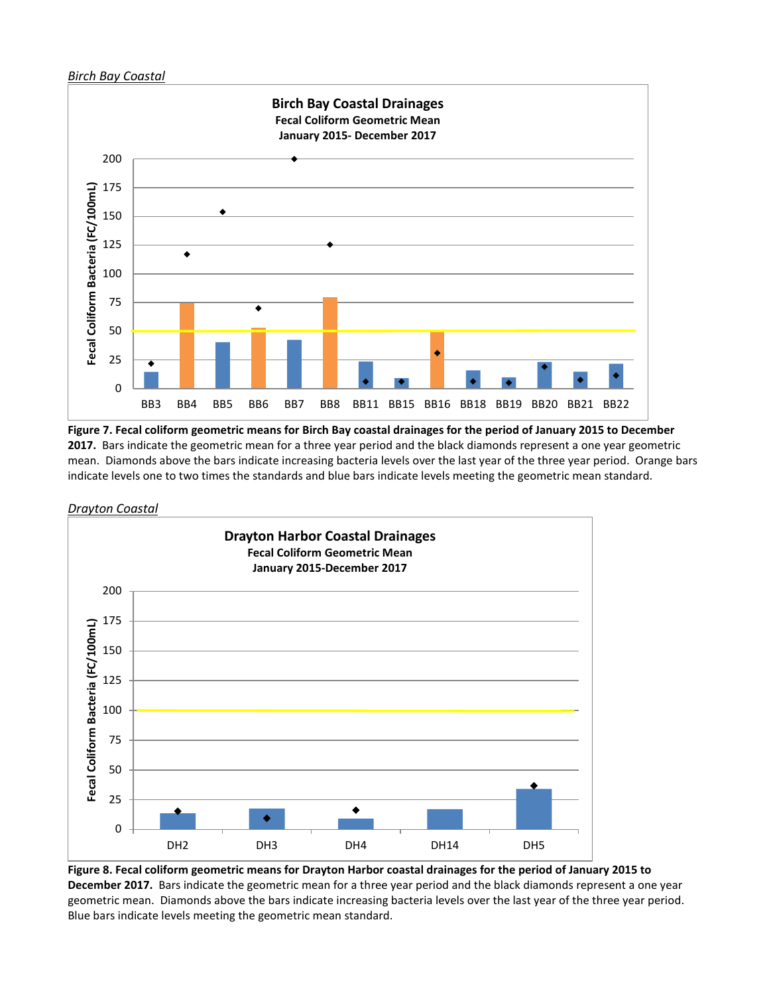#### *Birch Bay Coastal*



**Figure 7. Fecal coliform geometric means for Birch Bay coastal drainages for the period of January 2015 to December 2017.**Bars indicate the geometric mean for a three year period and the black diamonds represent a one year geometric mean. Diamonds above the bars indicate increasing bacteria levels over the last year of the three year period. Orange bars indicate levels one to two times the standards and blue bars indicate levels meeting the geometric mean standard.





**Figure 8. Fecal coliform geometric means for Drayton Harbor coastal drainages for the period of January 2015 to**  December 2017. Bars indicate the geometric mean for a three year period and the black diamonds represent a one year geometric mean. Diamonds above the bars indicate increasing bacteria levels over the last year of the three year period. Blue bars indicate levels meeting the geometric mean standard.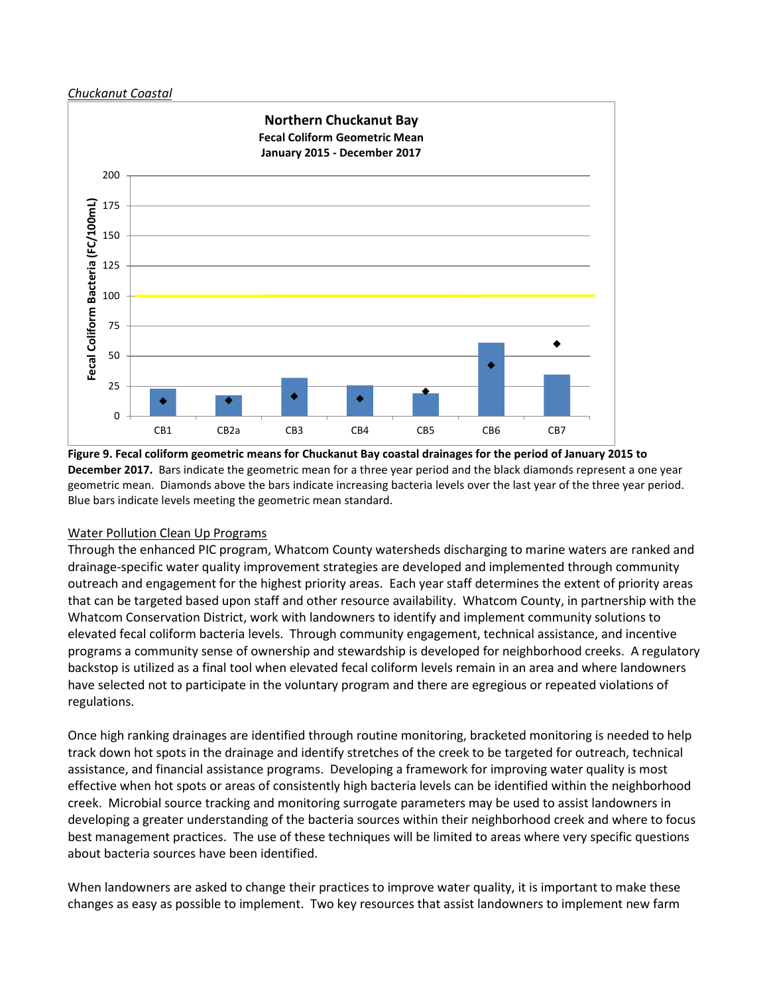#### *Chuckanut Coastal*



**Figure 9. Fecal coliform geometric means for Chuckanut Bay coastal drainages for the period of January 2015 to December 2017.** Bars indicate the geometric mean for a three year period and the black diamonds represent a one year geometric mean. Diamonds above the bars indicate increasing bacteria levels over the last year of the three year period. Blue bars indicate levels meeting the geometric mean standard.

## Water Pollution Clean Up Programs

Through the enhanced PIC program, Whatcom County watersheds discharging to marine waters are ranked and drainage-specific water quality improvement strategies are developed and implemented through community outreach and engagement for the highest priority areas. Each year staff determines the extent of priority areas that can be targeted based upon staff and other resource availability. Whatcom County, in partnership with the Whatcom Conservation District, work with landowners to identify and implement community solutions to elevated fecal coliform bacteria levels. Through community engagement, technical assistance, and incentive programs a community sense of ownership and stewardship is developed for neighborhood creeks. A regulatory backstop is utilized as a final tool when elevated fecal coliform levels remain in an area and where landowners have selected not to participate in the voluntary program and there are egregious or repeated violations of regulations.

Once high ranking drainages are identified through routine monitoring, bracketed monitoring is needed to help track down hot spots in the drainage and identify stretches of the creek to be targeted for outreach, technical assistance, and financial assistance programs. Developing a framework for improving water quality is most effective when hot spots or areas of consistently high bacteria levels can be identified within the neighborhood creek. Microbial source tracking and monitoring surrogate parameters may be used to assist landowners in developing a greater understanding of the bacteria sources within their neighborhood creek and where to focus best management practices. The use of these techniques will be limited to areas where very specific questions about bacteria sources have been identified.

When landowners are asked to change their practices to improve water quality, it is important to make these changes as easy as possible to implement. Two key resources that assist landowners to implement new farm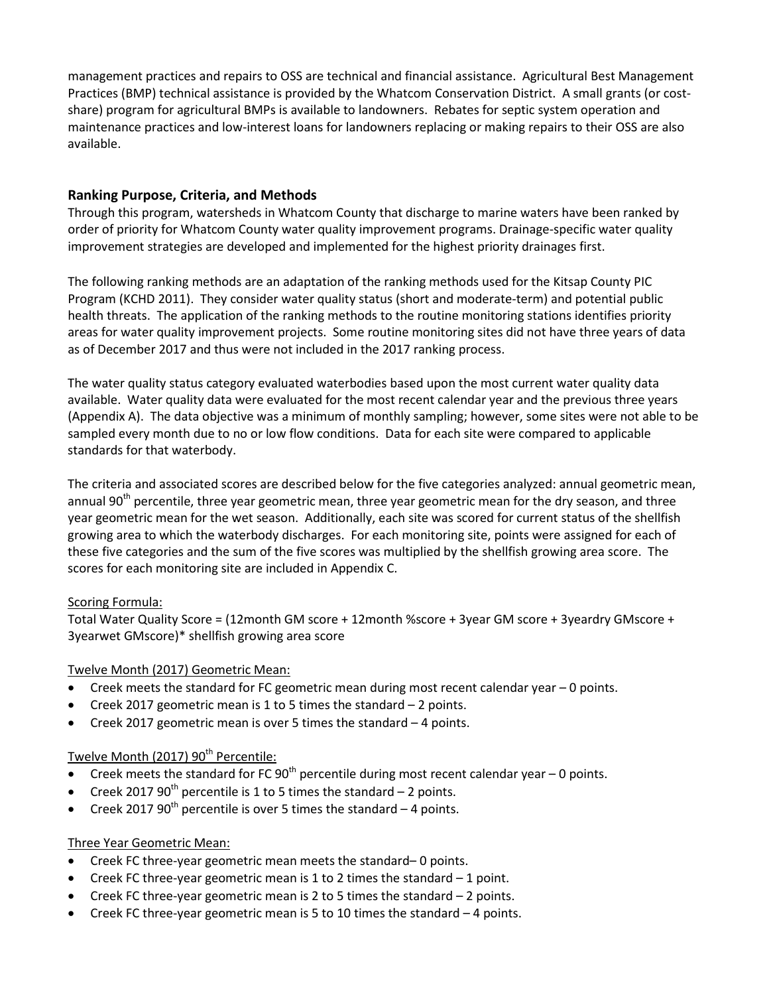management practices and repairs to OSS are technical and financial assistance. Agricultural Best Management Practices (BMP) technical assistance is provided by the Whatcom Conservation District. A small grants (or costshare) program for agricultural BMPs is available to landowners. Rebates for septic system operation and maintenance practices and low-interest loans for landowners replacing or making repairs to their OSS are also available.

## **Ranking Purpose, Criteria, and Methods**

Through this program, watersheds in Whatcom County that discharge to marine waters have been ranked by order of priority for Whatcom County water quality improvement programs. Drainage-specific water quality improvement strategies are developed and implemented for the highest priority drainages first.

The following ranking methods are an adaptation of the ranking methods used for the Kitsap County PIC Program (KCHD 2011). They consider water quality status (short and moderate-term) and potential public health threats. The application of the ranking methods to the routine monitoring stations identifies priority areas for water quality improvement projects. Some routine monitoring sites did not have three years of data as of December 2017 and thus were not included in the 2017 ranking process.

The water quality status category evaluated waterbodies based upon the most current water quality data available. Water quality data were evaluated for the most recent calendar year and the previous three years (Appendix A). The data objective was a minimum of monthly sampling; however, some sites were not able to be sampled every month due to no or low flow conditions. Data for each site were compared to applicable standards for that waterbody.

The criteria and associated scores are described below for the five categories analyzed: annual geometric mean, annual 90<sup>th</sup> percentile, three year geometric mean, three year geometric mean for the dry season, and three year geometric mean for the wet season. Additionally, each site was scored for current status of the shellfish growing area to which the waterbody discharges. For each monitoring site, points were assigned for each of these five categories and the sum of the five scores was multiplied by the shellfish growing area score. The scores for each monitoring site are included in Appendix C.

## Scoring Formula:

Total Water Quality Score = (12month GM score + 12month %score + 3year GM score + 3yeardry GMscore + 3yearwet GMscore)\* shellfish growing area score

## Twelve Month (2017) Geometric Mean:

- Creek meets the standard for FC geometric mean during most recent calendar year 0 points.
- Creek 2017 geometric mean is 1 to 5 times the standard  $-$  2 points.
- Creek 2017 geometric mean is over 5 times the standard  $-4$  points.

## Twelve Month (2017)  $90<sup>th</sup>$  Percentile:

- Creek meets the standard for FC 90<sup>th</sup> percentile during most recent calendar year  $-$  0 points.
- Creek 2017  $90^{th}$  percentile is 1 to 5 times the standard 2 points.
- Creek 2017 90<sup>th</sup> percentile is over 5 times the standard  $-4$  points.

## Three Year Geometric Mean:

- Creek FC three-year geometric mean meets the standard– 0 points.
- Creek FC three-year geometric mean is 1 to 2 times the standard 1 point.
- Creek FC three-year geometric mean is 2 to 5 times the standard 2 points.
- Creek FC three-year geometric mean is 5 to 10 times the standard  $-4$  points.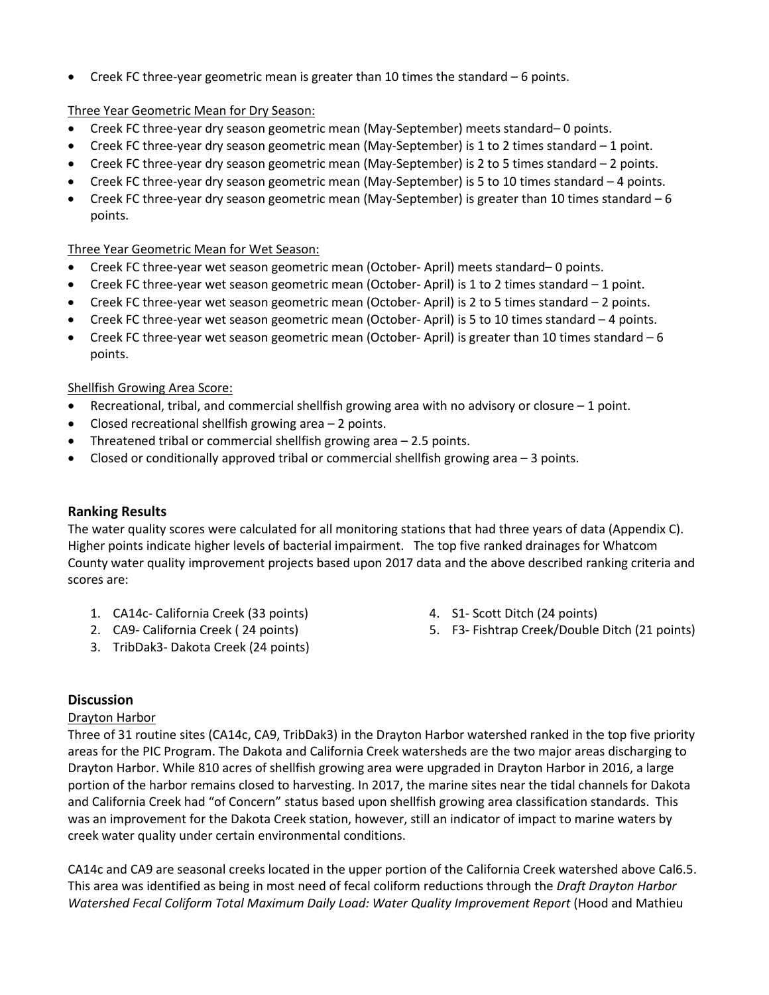• Creek FC three-year geometric mean is greater than 10 times the standard – 6 points.

## Three Year Geometric Mean for Dry Season:

- Creek FC three-year dry season geometric mean (May-September) meets standard– 0 points.
- Creek FC three-year dry season geometric mean (May-September) is 1 to 2 times standard 1 point.
- Creek FC three-year dry season geometric mean (May-September) is 2 to 5 times standard 2 points.
- Creek FC three-year dry season geometric mean (May-September) is 5 to 10 times standard 4 points.
- Creek FC three-year dry season geometric mean (May-September) is greater than 10 times standard 6 points.

## Three Year Geometric Mean for Wet Season:

- Creek FC three-year wet season geometric mean (October- April) meets standard– 0 points.
- Creek FC three-year wet season geometric mean (October- April) is 1 to 2 times standard 1 point.
- Creek FC three-year wet season geometric mean (October- April) is 2 to 5 times standard 2 points.
- Creek FC three-year wet season geometric mean (October- April) is 5 to 10 times standard 4 points.
- Creek FC three-year wet season geometric mean (October- April) is greater than 10 times standard 6 points.

## Shellfish Growing Area Score:

- Recreational, tribal, and commercial shellfish growing area with no advisory or closure  $-1$  point.
- Closed recreational shellfish growing area 2 points.
- Threatened tribal or commercial shellfish growing area  $-2.5$  points.
- Closed or conditionally approved tribal or commercial shellfish growing area 3 points.

## **Ranking Results**

The water quality scores were calculated for all monitoring stations that had three years of data (Appendix C). Higher points indicate higher levels of bacterial impairment. The top five ranked drainages for Whatcom County water quality improvement projects based upon 2017 data and the above described ranking criteria and scores are:

- 1. CA14c- California Creek (33 points)
- 2. CA9- California Creek ( 24 points)
- 3. TribDak3- Dakota Creek (24 points)
- 4. S1- Scott Ditch (24 points)
- 5. F3- Fishtrap Creek/Double Ditch (21 points)

## **Discussion**

## Drayton Harbor

Three of 31 routine sites (CA14c, CA9, TribDak3) in the Drayton Harbor watershed ranked in the top five priority areas for the PIC Program. The Dakota and California Creek watersheds are the two major areas discharging to Drayton Harbor. While 810 acres of shellfish growing area were upgraded in Drayton Harbor in 2016, a large portion of the harbor remains closed to harvesting. In 2017, the marine sites near the tidal channels for Dakota and California Creek had "of Concern" status based upon shellfish growing area classification standards. This was an improvement for the Dakota Creek station, however, still an indicator of impact to marine waters by creek water quality under certain environmental conditions.

CA14c and CA9 are seasonal creeks located in the upper portion of the California Creek watershed above Cal6.5. This area was identified as being in most need of fecal coliform reductions through the *Draft Drayton Harbor Watershed Fecal Coliform Total Maximum Daily Load: Water Quality Improvement Report* (Hood and Mathieu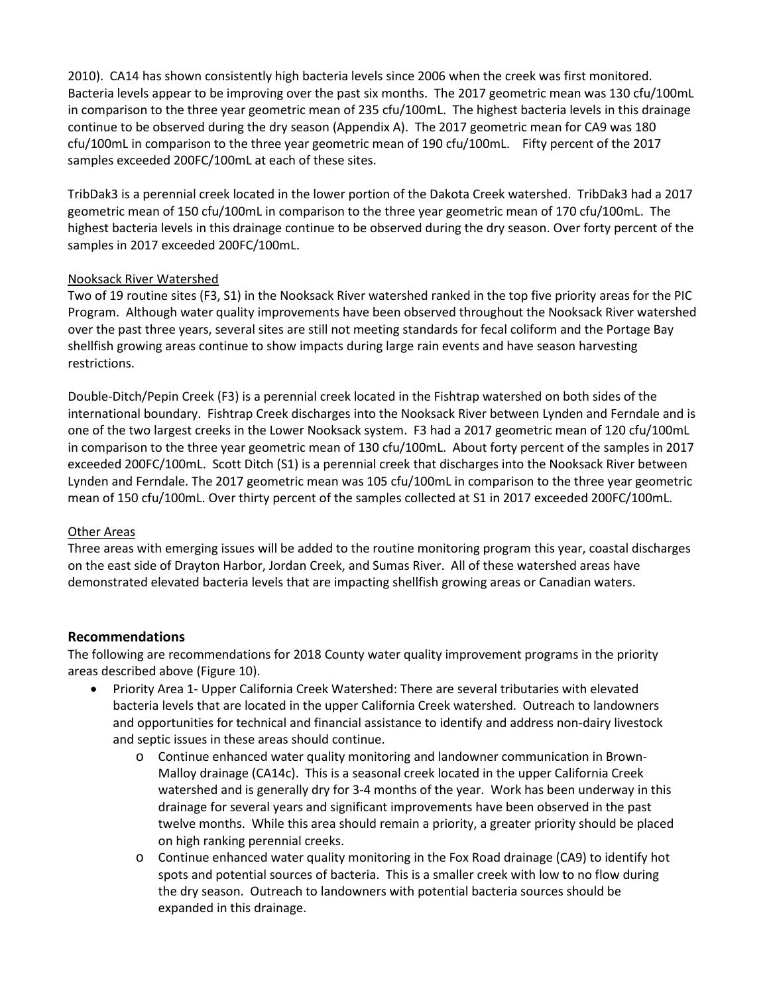2010). CA14 has shown consistently high bacteria levels since 2006 when the creek was first monitored. Bacteria levels appear to be improving over the past six months. The 2017 geometric mean was 130 cfu/100mL in comparison to the three year geometric mean of 235 cfu/100mL. The highest bacteria levels in this drainage continue to be observed during the dry season (Appendix A). The 2017 geometric mean for CA9 was 180 cfu/100mL in comparison to the three year geometric mean of 190 cfu/100mL. Fifty percent of the 2017 samples exceeded 200FC/100mL at each of these sites.

TribDak3 is a perennial creek located in the lower portion of the Dakota Creek watershed. TribDak3 had a 2017 geometric mean of 150 cfu/100mL in comparison to the three year geometric mean of 170 cfu/100mL. The highest bacteria levels in this drainage continue to be observed during the dry season. Over forty percent of the samples in 2017 exceeded 200FC/100mL.

## Nooksack River Watershed

Two of 19 routine sites (F3, S1) in the Nooksack River watershed ranked in the top five priority areas for the PIC Program. Although water quality improvements have been observed throughout the Nooksack River watershed over the past three years, several sites are still not meeting standards for fecal coliform and the Portage Bay shellfish growing areas continue to show impacts during large rain events and have season harvesting restrictions.

Double-Ditch/Pepin Creek (F3) is a perennial creek located in the Fishtrap watershed on both sides of the international boundary. Fishtrap Creek discharges into the Nooksack River between Lynden and Ferndale and is one of the two largest creeks in the Lower Nooksack system. F3 had a 2017 geometric mean of 120 cfu/100mL in comparison to the three year geometric mean of 130 cfu/100mL. About forty percent of the samples in 2017 exceeded 200FC/100mL. Scott Ditch (S1) is a perennial creek that discharges into the Nooksack River between Lynden and Ferndale. The 2017 geometric mean was 105 cfu/100mL in comparison to the three year geometric mean of 150 cfu/100mL. Over thirty percent of the samples collected at S1 in 2017 exceeded 200FC/100mL.

## Other Areas

Three areas with emerging issues will be added to the routine monitoring program this year, coastal discharges on the east side of Drayton Harbor, Jordan Creek, and Sumas River. All of these watershed areas have demonstrated elevated bacteria levels that are impacting shellfish growing areas or Canadian waters.

## **Recommendations**

The following are recommendations for 2018 County water quality improvement programs in the priority areas described above (Figure 10).

- Priority Area 1- Upper California Creek Watershed: There are several tributaries with elevated bacteria levels that are located in the upper California Creek watershed. Outreach to landowners and opportunities for technical and financial assistance to identify and address non-dairy livestock and septic issues in these areas should continue.
	- o Continue enhanced water quality monitoring and landowner communication in Brown-Malloy drainage (CA14c). This is a seasonal creek located in the upper California Creek watershed and is generally dry for 3-4 months of the year. Work has been underway in this drainage for several years and significant improvements have been observed in the past twelve months. While this area should remain a priority, a greater priority should be placed on high ranking perennial creeks.
	- o Continue enhanced water quality monitoring in the Fox Road drainage (CA9) to identify hot spots and potential sources of bacteria. This is a smaller creek with low to no flow during the dry season. Outreach to landowners with potential bacteria sources should be expanded in this drainage.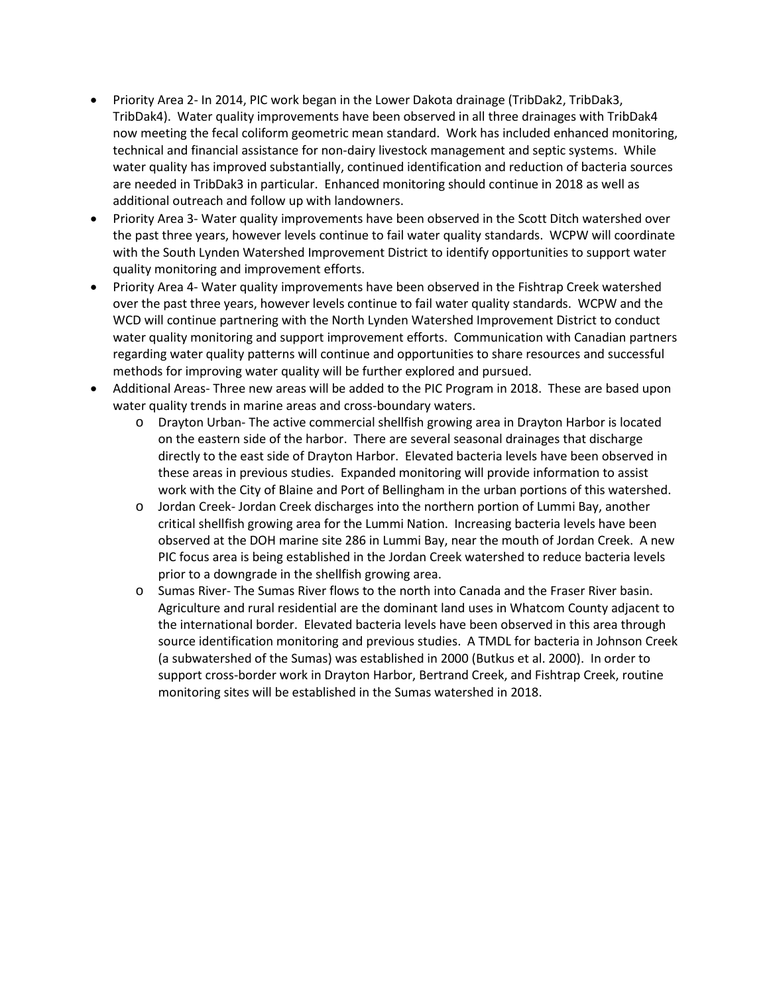- Priority Area 2- In 2014, PIC work began in the Lower Dakota drainage (TribDak2, TribDak3, TribDak4). Water quality improvements have been observed in all three drainages with TribDak4 now meeting the fecal coliform geometric mean standard. Work has included enhanced monitoring, technical and financial assistance for non-dairy livestock management and septic systems. While water quality has improved substantially, continued identification and reduction of bacteria sources are needed in TribDak3 in particular. Enhanced monitoring should continue in 2018 as well as additional outreach and follow up with landowners.
- Priority Area 3- Water quality improvements have been observed in the Scott Ditch watershed over the past three years, however levels continue to fail water quality standards. WCPW will coordinate with the South Lynden Watershed Improvement District to identify opportunities to support water quality monitoring and improvement efforts.
- Priority Area 4- Water quality improvements have been observed in the Fishtrap Creek watershed over the past three years, however levels continue to fail water quality standards. WCPW and the WCD will continue partnering with the North Lynden Watershed Improvement District to conduct water quality monitoring and support improvement efforts. Communication with Canadian partners regarding water quality patterns will continue and opportunities to share resources and successful methods for improving water quality will be further explored and pursued.
- Additional Areas- Three new areas will be added to the PIC Program in 2018. These are based upon water quality trends in marine areas and cross-boundary waters.
	- o Drayton Urban- The active commercial shellfish growing area in Drayton Harbor is located on the eastern side of the harbor. There are several seasonal drainages that discharge directly to the east side of Drayton Harbor. Elevated bacteria levels have been observed in these areas in previous studies. Expanded monitoring will provide information to assist work with the City of Blaine and Port of Bellingham in the urban portions of this watershed.
	- o Jordan Creek- Jordan Creek discharges into the northern portion of Lummi Bay, another critical shellfish growing area for the Lummi Nation. Increasing bacteria levels have been observed at the DOH marine site 286 in Lummi Bay, near the mouth of Jordan Creek. A new PIC focus area is being established in the Jordan Creek watershed to reduce bacteria levels prior to a downgrade in the shellfish growing area.
	- o Sumas River- The Sumas River flows to the north into Canada and the Fraser River basin. Agriculture and rural residential are the dominant land uses in Whatcom County adjacent to the international border. Elevated bacteria levels have been observed in this area through source identification monitoring and previous studies. A TMDL for bacteria in Johnson Creek (a subwatershed of the Sumas) was established in 2000 (Butkus et al. 2000). In order to support cross-border work in Drayton Harbor, Bertrand Creek, and Fishtrap Creek, routine monitoring sites will be established in the Sumas watershed in 2018.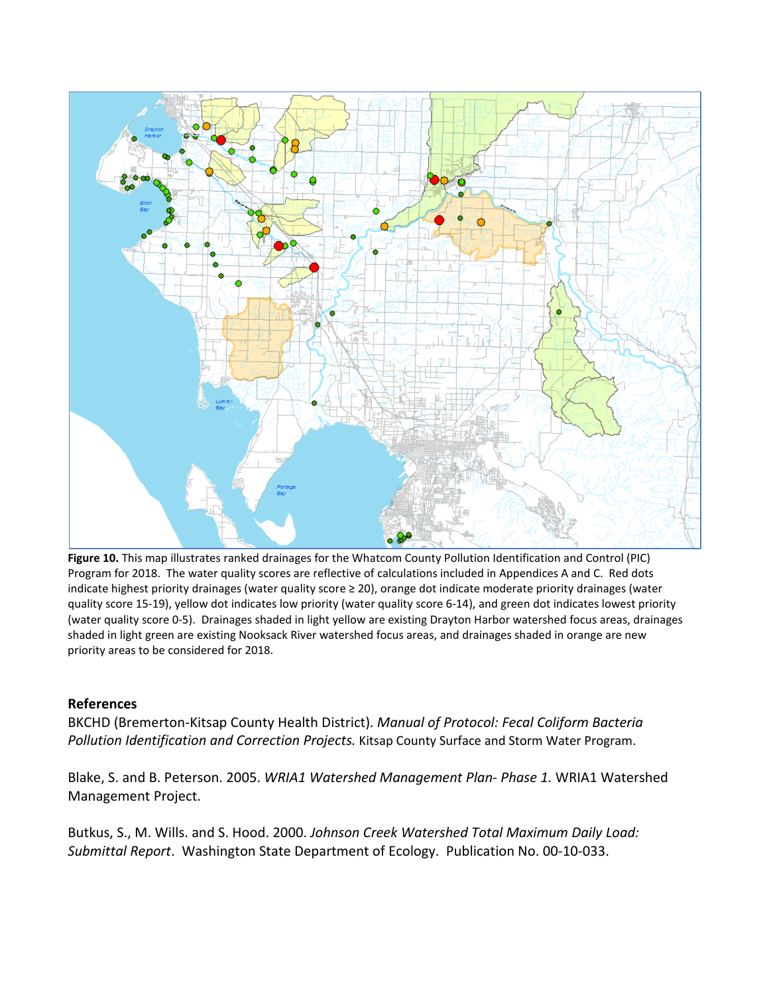

**Figure 10.** This map illustrates ranked drainages for the Whatcom County Pollution Identification and Control (PIC) Program for 2018. The water quality scores are reflective of calculations included in Appendices A and C. Red dots indicate highest priority drainages (water quality score ≥ 20), orange dot indicate moderate priority drainages (water quality score 15-19), yellow dot indicates low priority (water quality score 6-14), and green dot indicates lowest priority (water quality score 0-5). Drainages shaded in light yellow are existing Drayton Harbor watershed focus areas, drainages shaded in light green are existing Nooksack River watershed focus areas, and drainages shaded in orange are new priority areas to be considered for 2018.

## **References**

BKCHD (Bremerton-Kitsap County Health District). *Manual of Protocol: Fecal Coliform Bacteria Pollution Identification and Correction Projects.* Kitsap County Surface and Storm Water Program.

Blake, S. and B. Peterson. 2005. *WRIA1 Watershed Management Plan- Phase 1.* WRIA1 Watershed Management Project.

Butkus, S., M. Wills. and S. Hood. 2000. *Johnson Creek Watershed Total Maximum Daily Load: Submittal Report*. Washington State Department of Ecology. Publication No. 00-10-033.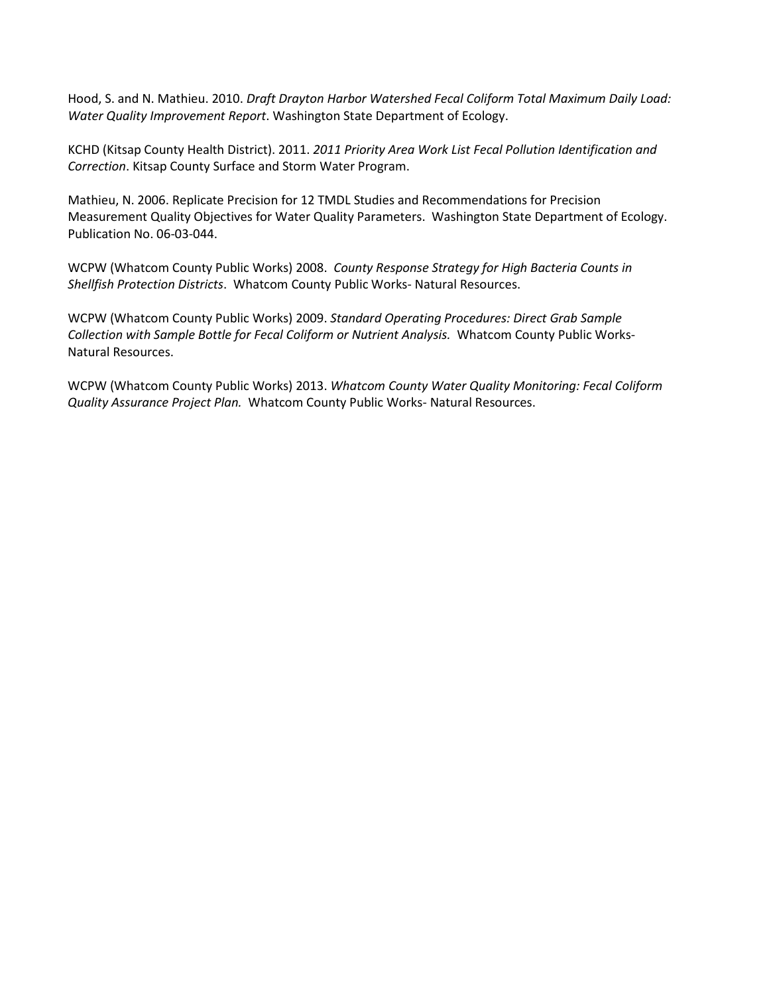Hood, S. and N. Mathieu. 2010. *Draft Drayton Harbor Watershed Fecal Coliform Total Maximum Daily Load: Water Quality Improvement Report*. Washington State Department of Ecology.

KCHD (Kitsap County Health District). 2011. *2011 Priority Area Work List Fecal Pollution Identification and Correction*. Kitsap County Surface and Storm Water Program.

Mathieu, N. 2006. Replicate Precision for 12 TMDL Studies and Recommendations for Precision Measurement Quality Objectives for Water Quality Parameters. Washington State Department of Ecology. Publication No. 06-03-044.

WCPW (Whatcom County Public Works) 2008. *County Response Strategy for High Bacteria Counts in Shellfish Protection Districts*. Whatcom County Public Works- Natural Resources.

WCPW (Whatcom County Public Works) 2009. *Standard Operating Procedures: Direct Grab Sample Collection with Sample Bottle for Fecal Coliform or Nutrient Analysis.* Whatcom County Public Works-Natural Resources.

WCPW (Whatcom County Public Works) 2013. *Whatcom County Water Quality Monitoring: Fecal Coliform Quality Assurance Project Plan.* Whatcom County Public Works- Natural Resources.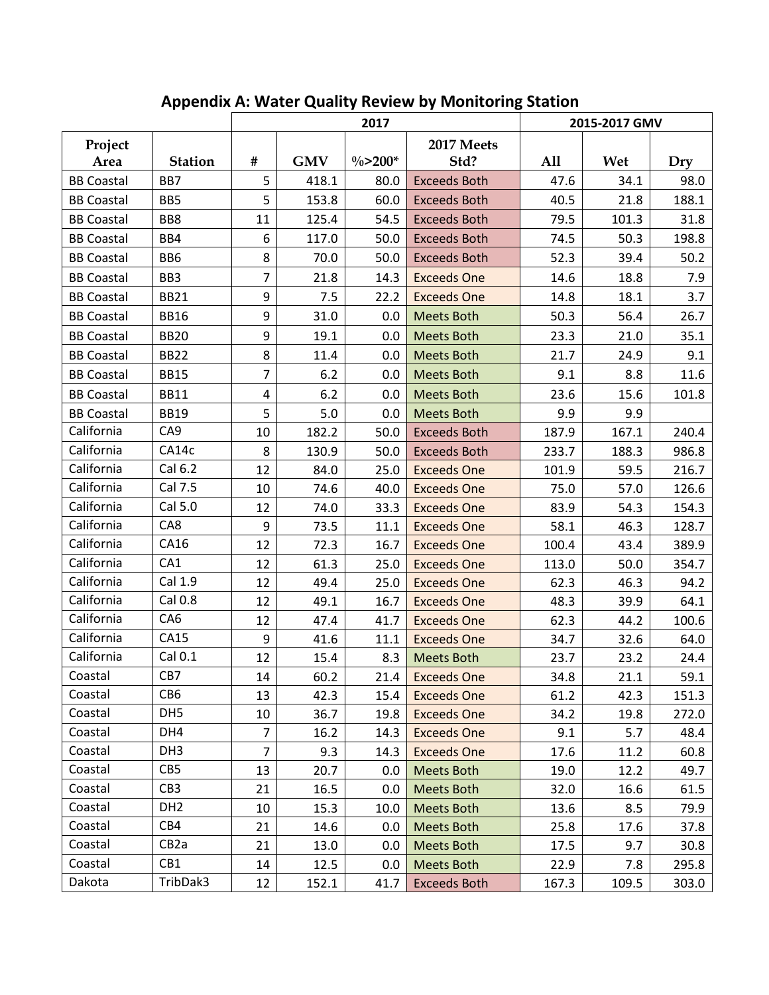|                   |                   | 2017           |            |             |                     |       | 2015-2017 GMV |       |
|-------------------|-------------------|----------------|------------|-------------|---------------------|-------|---------------|-------|
| Project           | <b>Station</b>    | #              | <b>GMV</b> | $\% > 200*$ | 2017 Meets<br>Std?  | A11   | Wet           |       |
| Area              |                   |                |            |             |                     |       |               | Dry   |
| <b>BB Coastal</b> | BB7               | 5              | 418.1      | 80.0        | <b>Exceeds Both</b> | 47.6  | 34.1          | 98.0  |
| <b>BB Coastal</b> | BB5               | 5              | 153.8      | 60.0        | <b>Exceeds Both</b> | 40.5  | 21.8          | 188.1 |
| <b>BB Coastal</b> | BB8               | 11             | 125.4      | 54.5        | <b>Exceeds Both</b> | 79.5  | 101.3         | 31.8  |
| <b>BB Coastal</b> | BB4               | 6              | 117.0      | 50.0        | <b>Exceeds Both</b> | 74.5  | 50.3          | 198.8 |
| <b>BB Coastal</b> | BB <sub>6</sub>   | 8              | 70.0       | 50.0        | <b>Exceeds Both</b> | 52.3  | 39.4          | 50.2  |
| <b>BB Coastal</b> | BB <sub>3</sub>   | $\overline{7}$ | 21.8       | 14.3        | <b>Exceeds One</b>  | 14.6  | 18.8          | 7.9   |
| <b>BB Coastal</b> | <b>BB21</b>       | 9              | 7.5        | 22.2        | <b>Exceeds One</b>  | 14.8  | 18.1          | 3.7   |
| <b>BB Coastal</b> | <b>BB16</b>       | 9              | 31.0       | 0.0         | <b>Meets Both</b>   | 50.3  | 56.4          | 26.7  |
| <b>BB Coastal</b> | <b>BB20</b>       | 9              | 19.1       | 0.0         | <b>Meets Both</b>   | 23.3  | 21.0          | 35.1  |
| <b>BB Coastal</b> | <b>BB22</b>       | 8              | 11.4       | 0.0         | <b>Meets Both</b>   | 21.7  | 24.9          | 9.1   |
| <b>BB Coastal</b> | <b>BB15</b>       | $\overline{7}$ | 6.2        | 0.0         | <b>Meets Both</b>   | 9.1   | 8.8           | 11.6  |
| <b>BB Coastal</b> | <b>BB11</b>       | 4              | 6.2        | 0.0         | <b>Meets Both</b>   | 23.6  | 15.6          | 101.8 |
| <b>BB Coastal</b> | <b>BB19</b>       | 5              | 5.0        | 0.0         | <b>Meets Both</b>   | 9.9   | 9.9           |       |
| California        | CA9               | 10             | 182.2      | 50.0        | <b>Exceeds Both</b> | 187.9 | 167.1         | 240.4 |
| California        | CA14c             | 8              | 130.9      | 50.0        | <b>Exceeds Both</b> | 233.7 | 188.3         | 986.8 |
| California        | Cal 6.2           | 12             | 84.0       | 25.0        | <b>Exceeds One</b>  | 101.9 | 59.5          | 216.7 |
| California        | Cal 7.5           | 10             | 74.6       | 40.0        | <b>Exceeds One</b>  | 75.0  | 57.0          | 126.6 |
| California        | Cal 5.0           | 12             | 74.0       | 33.3        | <b>Exceeds One</b>  | 83.9  | 54.3          | 154.3 |
| California        | CA8               | 9              | 73.5       | 11.1        | <b>Exceeds One</b>  | 58.1  | 46.3          | 128.7 |
| California        | CA16              | 12             | 72.3       | 16.7        | <b>Exceeds One</b>  | 100.4 | 43.4          | 389.9 |
| California        | CA1               | 12             | 61.3       | 25.0        | <b>Exceeds One</b>  | 113.0 | 50.0          | 354.7 |
| California        | Cal 1.9           | 12             | 49.4       | 25.0        | <b>Exceeds One</b>  | 62.3  | 46.3          | 94.2  |
| California        | Cal 0.8           | 12             | 49.1       | 16.7        | <b>Exceeds One</b>  | 48.3  | 39.9          | 64.1  |
| California        | CA6               | 12             | 47.4       | 41.7        | <b>Exceeds One</b>  | 62.3  | 44.2          | 100.6 |
| California        | CA15              | 9              | 41.6       | 11.1        | <b>Exceeds One</b>  | 34.7  | 32.6          | 64.0  |
| California        | Cal 0.1           | 12             | 15.4       | 8.3         | <b>Meets Both</b>   | 23.7  | 23.2          | 24.4  |
| Coastal           | CB7               | 14             | 60.2       | 21.4        | <b>Exceeds One</b>  | 34.8  | 21.1          | 59.1  |
| Coastal           | CB <sub>6</sub>   | 13             | 42.3       | 15.4        | <b>Exceeds One</b>  | 61.2  | 42.3          | 151.3 |
| Coastal           | DH <sub>5</sub>   | 10             | 36.7       | 19.8        | <b>Exceeds One</b>  | 34.2  | 19.8          | 272.0 |
| Coastal           | DH4               | $\overline{7}$ | 16.2       | 14.3        | <b>Exceeds One</b>  | 9.1   | 5.7           | 48.4  |
| Coastal           | DH <sub>3</sub>   | $\overline{7}$ | 9.3        | 14.3        | <b>Exceeds One</b>  | 17.6  | 11.2          | 60.8  |
| Coastal           | CB5               | 13             | 20.7       | 0.0         | <b>Meets Both</b>   | 19.0  | 12.2          | 49.7  |
| Coastal           | CB <sub>3</sub>   | 21             | 16.5       | 0.0         | <b>Meets Both</b>   | 32.0  | 16.6          | 61.5  |
| Coastal           | DH <sub>2</sub>   | 10             | 15.3       | 10.0        | Meets Both          | 13.6  | 8.5           | 79.9  |
| Coastal           | CB4               | 21             | 14.6       | 0.0         | <b>Meets Both</b>   | 25.8  | 17.6          | 37.8  |
| Coastal           | CB <sub>2</sub> a | 21             | 13.0       | 0.0         | <b>Meets Both</b>   | 17.5  | 9.7           | 30.8  |
| Coastal           | CB1               | 14             | 12.5       | 0.0         | Meets Both          | 22.9  | 7.8           | 295.8 |
| Dakota            | TribDak3          | 12             | 152.1      | 41.7        | <b>Exceeds Both</b> | 167.3 | 109.5         | 303.0 |

## **Appendix A: Water Quality Review by Monitoring Station**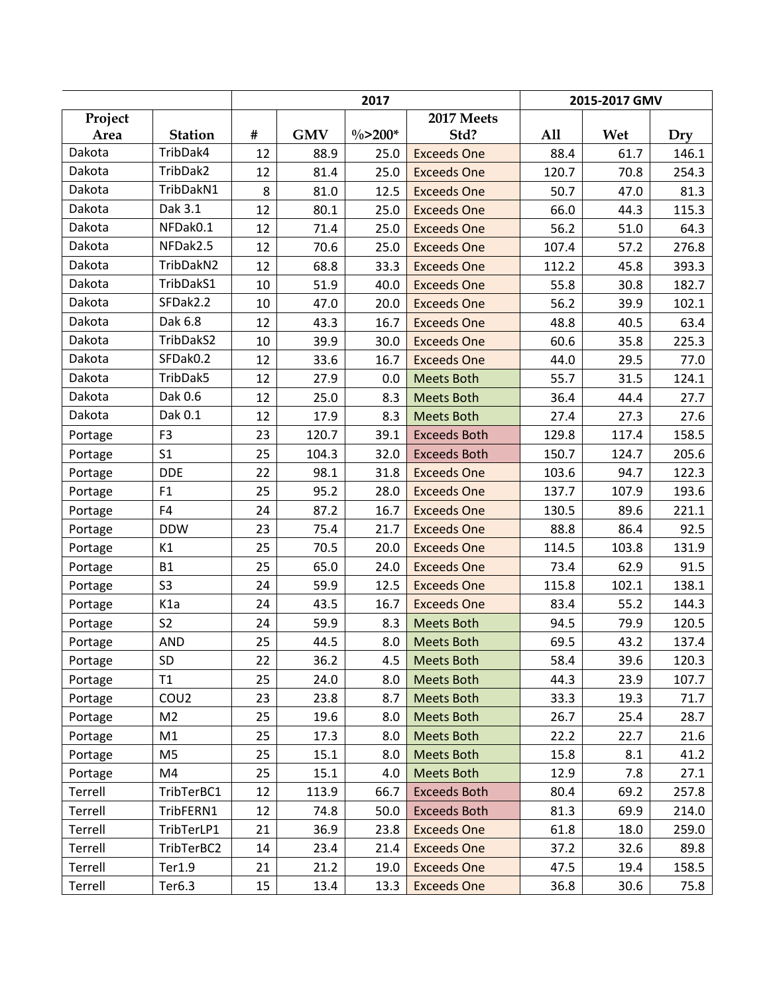|         |                  |    |            | 2017       |                     | 2015-2017 GMV |       |       |  |
|---------|------------------|----|------------|------------|---------------------|---------------|-------|-------|--|
| Project |                  |    |            |            | 2017 Meets          |               |       |       |  |
| Area    | <b>Station</b>   | #  | <b>GMV</b> | $\%$ >200* | Std?                | <b>All</b>    | Wet   | Dry   |  |
| Dakota  | TribDak4         | 12 | 88.9       | 25.0       | <b>Exceeds One</b>  | 88.4          | 61.7  | 146.1 |  |
| Dakota  | TribDak2         | 12 | 81.4       | 25.0       | <b>Exceeds One</b>  | 120.7         | 70.8  | 254.3 |  |
| Dakota  | TribDakN1        | 8  | 81.0       | 12.5       | <b>Exceeds One</b>  | 50.7          | 47.0  | 81.3  |  |
| Dakota  | Dak 3.1          | 12 | 80.1       | 25.0       | <b>Exceeds One</b>  | 66.0          | 44.3  | 115.3 |  |
| Dakota  | NFDak0.1         | 12 | 71.4       | 25.0       | <b>Exceeds One</b>  | 56.2          | 51.0  | 64.3  |  |
| Dakota  | NFDak2.5         | 12 | 70.6       | 25.0       | <b>Exceeds One</b>  | 107.4         | 57.2  | 276.8 |  |
| Dakota  | TribDakN2        | 12 | 68.8       | 33.3       | <b>Exceeds One</b>  | 112.2         | 45.8  | 393.3 |  |
| Dakota  | TribDakS1        | 10 | 51.9       | 40.0       | <b>Exceeds One</b>  | 55.8          | 30.8  | 182.7 |  |
| Dakota  | SFDak2.2         | 10 | 47.0       | 20.0       | <b>Exceeds One</b>  | 56.2          | 39.9  | 102.1 |  |
| Dakota  | Dak 6.8          | 12 | 43.3       | 16.7       | <b>Exceeds One</b>  | 48.8          | 40.5  | 63.4  |  |
| Dakota  | TribDakS2        | 10 | 39.9       | 30.0       | <b>Exceeds One</b>  | 60.6          | 35.8  | 225.3 |  |
| Dakota  | SFDak0.2         | 12 | 33.6       | 16.7       | <b>Exceeds One</b>  | 44.0          | 29.5  | 77.0  |  |
| Dakota  | TribDak5         | 12 | 27.9       | 0.0        | <b>Meets Both</b>   | 55.7          | 31.5  | 124.1 |  |
| Dakota  | Dak 0.6          | 12 | 25.0       | 8.3        | <b>Meets Both</b>   | 36.4          | 44.4  | 27.7  |  |
| Dakota  | Dak 0.1          | 12 | 17.9       | 8.3        | <b>Meets Both</b>   | 27.4          | 27.3  | 27.6  |  |
| Portage | F <sub>3</sub>   | 23 | 120.7      | 39.1       | <b>Exceeds Both</b> | 129.8         | 117.4 | 158.5 |  |
| Portage | S <sub>1</sub>   | 25 | 104.3      | 32.0       | <b>Exceeds Both</b> | 150.7         | 124.7 | 205.6 |  |
| Portage | <b>DDE</b>       | 22 | 98.1       | 31.8       | <b>Exceeds One</b>  | 103.6         | 94.7  | 122.3 |  |
| Portage | F1               | 25 | 95.2       | 28.0       | <b>Exceeds One</b>  | 137.7         | 107.9 | 193.6 |  |
| Portage | F <sub>4</sub>   | 24 | 87.2       | 16.7       | <b>Exceeds One</b>  | 130.5         | 89.6  | 221.1 |  |
| Portage | <b>DDW</b>       | 23 | 75.4       | 21.7       | <b>Exceeds One</b>  | 88.8          | 86.4  | 92.5  |  |
| Portage | K1               | 25 | 70.5       | 20.0       | <b>Exceeds One</b>  | 114.5         | 103.8 | 131.9 |  |
| Portage | <b>B1</b>        | 25 | 65.0       | 24.0       | <b>Exceeds One</b>  | 73.4          | 62.9  | 91.5  |  |
| Portage | S <sub>3</sub>   | 24 | 59.9       | 12.5       | <b>Exceeds One</b>  | 115.8         | 102.1 | 138.1 |  |
| Portage | K <sub>1</sub> a | 24 | 43.5       | 16.7       | <b>Exceeds One</b>  | 83.4          | 55.2  | 144.3 |  |
| Portage | S <sub>2</sub>   | 24 | 59.9       | 8.3        | <b>Meets Both</b>   | 94.5          | 79.9  | 120.5 |  |
| Portage | AND              | 25 | 44.5       | 8.0        | <b>Meets Both</b>   | 69.5          | 43.2  | 137.4 |  |
| Portage | SD               | 22 | 36.2       | 4.5        | <b>Meets Both</b>   | 58.4          | 39.6  | 120.3 |  |
| Portage | T1               | 25 | 24.0       | 8.0        | <b>Meets Both</b>   | 44.3          | 23.9  | 107.7 |  |
| Portage | COU <sub>2</sub> | 23 | 23.8       | 8.7        | Meets Both          | 33.3          | 19.3  | 71.7  |  |
| Portage | M <sub>2</sub>   | 25 | 19.6       | 8.0        | <b>Meets Both</b>   | 26.7          | 25.4  | 28.7  |  |
| Portage | M1               | 25 | 17.3       | 8.0        | <b>Meets Both</b>   | 22.2          | 22.7  | 21.6  |  |
| Portage | M <sub>5</sub>   | 25 | 15.1       | 8.0        | <b>Meets Both</b>   | 15.8          | 8.1   | 41.2  |  |
| Portage | M4               | 25 | 15.1       | 4.0        | <b>Meets Both</b>   | 12.9          | 7.8   | 27.1  |  |
| Terrell | TribTerBC1       | 12 | 113.9      | 66.7       | <b>Exceeds Both</b> | 80.4          | 69.2  | 257.8 |  |
| Terrell | TribFERN1        | 12 | 74.8       | 50.0       | <b>Exceeds Both</b> | 81.3          | 69.9  | 214.0 |  |
| Terrell | TribTerLP1       | 21 | 36.9       | 23.8       | <b>Exceeds One</b>  | 61.8          | 18.0  | 259.0 |  |
| Terrell | TribTerBC2       | 14 | 23.4       | 21.4       | <b>Exceeds One</b>  | 37.2          | 32.6  | 89.8  |  |
| Terrell | Ter1.9           | 21 | 21.2       | 19.0       | <b>Exceeds One</b>  | 47.5          | 19.4  | 158.5 |  |
| Terrell | Ter6.3           | 15 | 13.4       | 13.3       | <b>Exceeds One</b>  | 36.8          | 30.6  | 75.8  |  |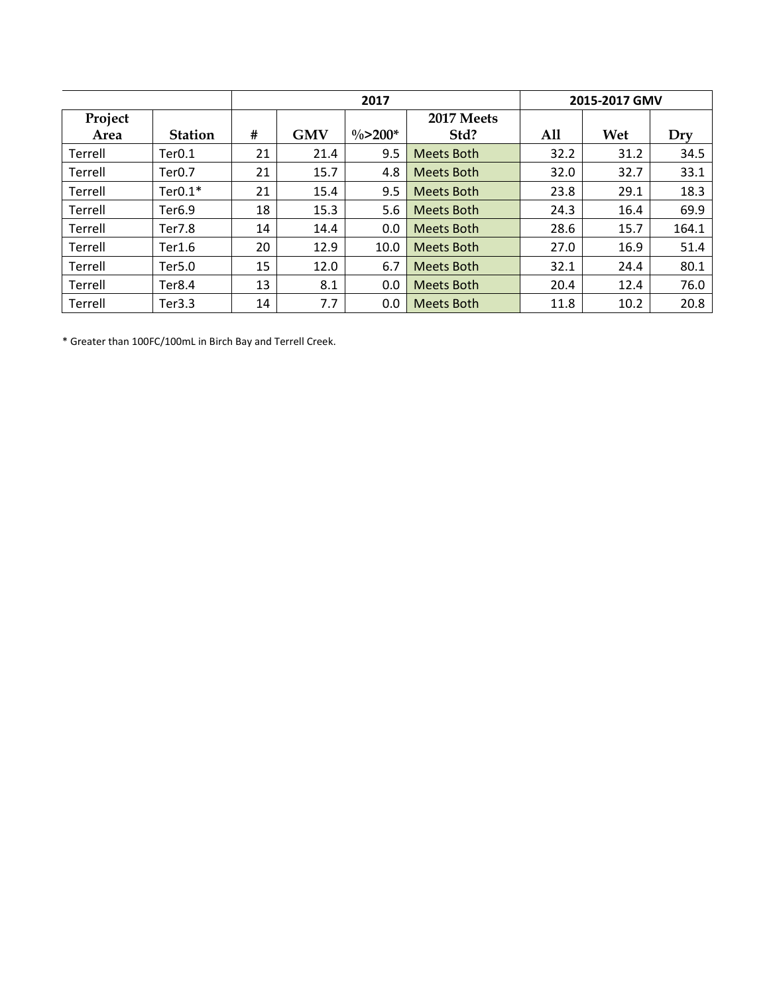|         |                |    |            | 2017                |                   | 2015-2017 GMV |      |       |  |
|---------|----------------|----|------------|---------------------|-------------------|---------------|------|-------|--|
| Project |                |    |            |                     | 2017 Meets        |               |      |       |  |
| Area    | <b>Station</b> | #  | <b>GMV</b> | $\frac{0}{2}$ >200* | Std?              | All           | Wet  | Dry   |  |
| Terrell | Ter0.1         | 21 | 21.4       | 9.5                 | Meets Both        | 32.2          | 31.2 | 34.5  |  |
| Terrell | Ter0.7         | 21 | 15.7       | 4.8                 | <b>Meets Both</b> | 32.0          | 32.7 | 33.1  |  |
| Terrell | $Ter0.1*$      | 21 | 15.4       | 9.5                 | <b>Meets Both</b> | 23.8          | 29.1 | 18.3  |  |
| Terrell | Ter6.9         | 18 | 15.3       | 5.6                 | <b>Meets Both</b> | 24.3          | 16.4 | 69.9  |  |
| Terrell | Ter7.8         | 14 | 14.4       | 0.0                 | <b>Meets Both</b> | 28.6          | 15.7 | 164.1 |  |
| Terrell | Ter1.6         | 20 | 12.9       | 10.0                | <b>Meets Both</b> | 27.0          | 16.9 | 51.4  |  |
| Terrell | Ter5.0         | 15 | 12.0       | 6.7                 | <b>Meets Both</b> | 32.1          | 24.4 | 80.1  |  |
| Terrell | Ter8.4         | 13 | 8.1        | 0.0                 | <b>Meets Both</b> | 20.4          | 12.4 | 76.0  |  |
| Terrell | Ter3.3         | 14 | 7.7        | 0.0                 | <b>Meets Both</b> | 11.8          | 10.2 | 20.8  |  |

\* Greater than 100FC/100mL in Birch Bay and Terrell Creek.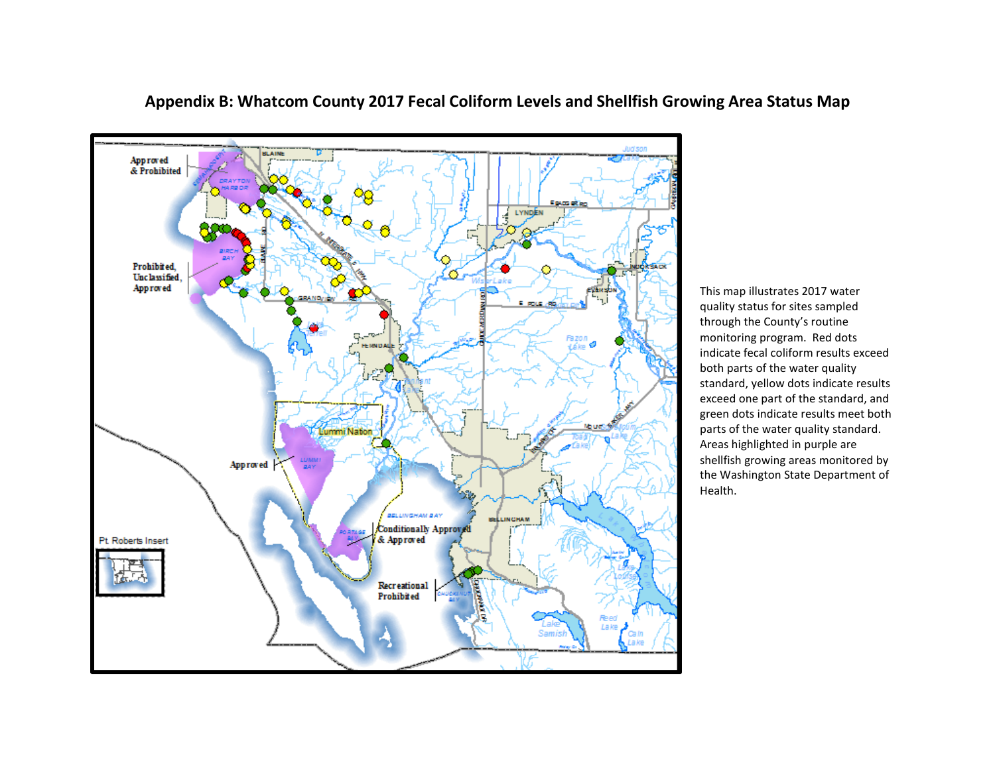

**Appendix B: Whatcom County 2017 Fecal Coliform Levels and Shellfish Growing Area Status Map**

This map illustrates 2017 water quality status for sites sampled through the County's routine monitoring program. Red dots indicate fecal coliform results exceed both parts of the water quality standard, yellow dots indicate results exceed one part of the standard, and green dots indicate results meet both parts of the water quality standard. Areas highlighted in purple are shellfish growing areas monitored by the Washington State Department of Health.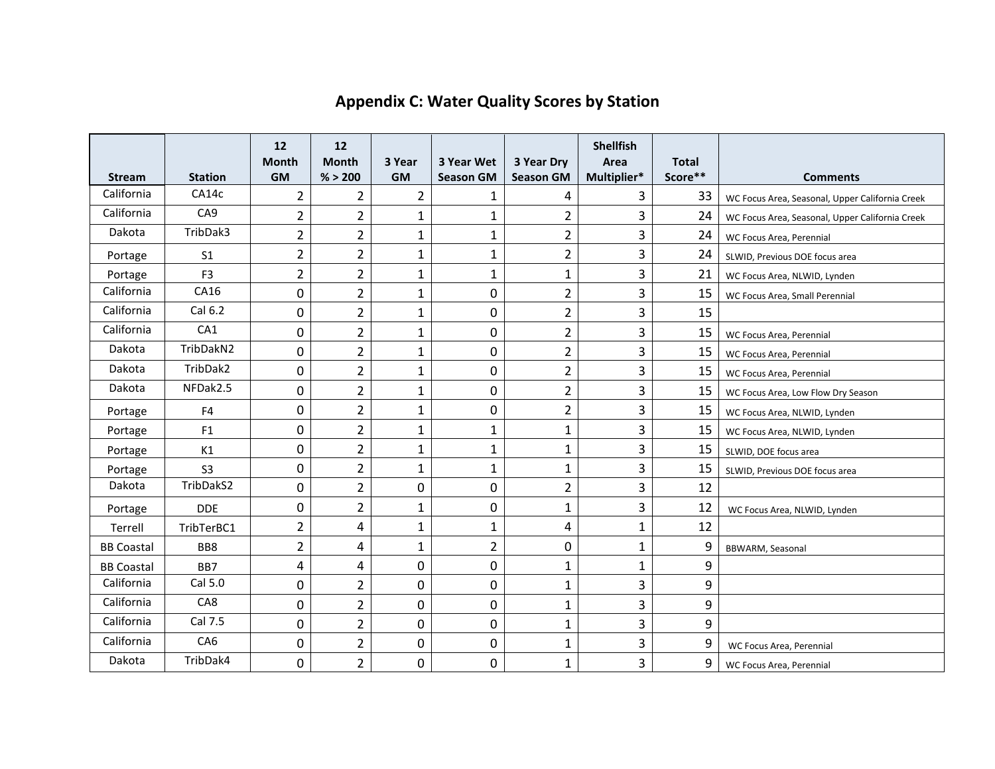| <b>Stream</b>     | <b>Station</b>  | 12<br><b>Month</b><br><b>GM</b> | 12<br><b>Month</b><br>% > 200 | 3 Year<br><b>GM</b> | 3 Year Wet<br><b>Season GM</b> | 3 Year Dry<br><b>Season GM</b> | <b>Shellfish</b><br>Area<br>Multiplier* | <b>Total</b><br>Score** | <b>Comments</b>                                 |
|-------------------|-----------------|---------------------------------|-------------------------------|---------------------|--------------------------------|--------------------------------|-----------------------------------------|-------------------------|-------------------------------------------------|
| California        | CA14c           | 2                               | 2                             | $\overline{2}$      | $\mathbf{1}$                   | 4                              | 3                                       | 33                      | WC Focus Area, Seasonal, Upper California Creek |
| California        | CA <sub>9</sub> | 2                               | $\overline{2}$                | $\mathbf{1}$        | $\mathbf{1}$                   | $\overline{2}$                 | 3                                       | 24                      | WC Focus Area, Seasonal, Upper California Creek |
| Dakota            | TribDak3        | $\overline{2}$                  | $\overline{2}$                | $\mathbf{1}$        | $\mathbf{1}$                   | $\overline{2}$                 | 3                                       | 24                      | WC Focus Area, Perennial                        |
| Portage           | S <sub>1</sub>  | $\overline{2}$                  | $\overline{2}$                | $\mathbf{1}$        | $\mathbf{1}$                   | $\overline{2}$                 | 3                                       | 24                      | SLWID, Previous DOE focus area                  |
| Portage           | F <sub>3</sub>  | $\overline{2}$                  | $\overline{2}$                | $\mathbf{1}$        | $\mathbf{1}$                   | $\mathbf{1}$                   | 3                                       | 21                      | WC Focus Area, NLWID, Lynden                    |
| California        | CA16            | $\mathbf 0$                     | $\overline{2}$                | $\mathbf{1}$        | 0                              | $\overline{2}$                 | 3                                       | 15                      | WC Focus Area, Small Perennial                  |
| California        | Cal 6.2         | $\mathbf 0$                     | 2                             | $\mathbf{1}$        | 0                              | $\overline{2}$                 | 3                                       | 15                      |                                                 |
| California        | CA1             | 0                               | 2                             | $\mathbf{1}$        | 0                              | $\overline{2}$                 | 3                                       | 15                      | WC Focus Area, Perennial                        |
| Dakota            | TribDakN2       | 0                               | $\overline{2}$                | $\mathbf{1}$        | 0                              | $\overline{2}$                 | 3                                       | 15                      | WC Focus Area, Perennial                        |
| Dakota            | TribDak2        | $\mathbf 0$                     | $\overline{2}$                | $\mathbf{1}$        | 0                              | $\overline{2}$                 | 3                                       | 15                      | WC Focus Area, Perennial                        |
| Dakota            | NFDak2.5        | $\pmb{0}$                       | $\overline{2}$                | $\mathbf{1}$        | 0                              | $\overline{2}$                 | 3                                       | 15                      | WC Focus Area, Low Flow Dry Season              |
| Portage           | F <sub>4</sub>  | $\mathbf 0$                     | $\overline{2}$                | $\mathbf{1}$        | 0                              | $\overline{2}$                 | 3                                       | 15                      | WC Focus Area, NLWID, Lynden                    |
| Portage           | F1              | $\mathbf 0$                     | $\overline{2}$                | $\mathbf{1}$        | $\mathbf{1}$                   | $\mathbf{1}$                   | 3                                       | 15                      | WC Focus Area, NLWID, Lynden                    |
| Portage           | K1              | $\pmb{0}$                       | $\overline{2}$                | $\mathbf{1}$        | $\mathbf{1}$                   | $\mathbf{1}$                   | 3                                       | 15                      | SLWID, DOE focus area                           |
| Portage           | S <sub>3</sub>  | $\mathbf 0$                     | 2                             | $\mathbf{1}$        | $\mathbf{1}$                   | $\mathbf{1}$                   | 3                                       | 15                      | SLWID, Previous DOE focus area                  |
| Dakota            | TribDakS2       | 0                               | $\overline{2}$                | 0                   | 0                              | $\overline{2}$                 | 3                                       | 12                      |                                                 |
| Portage           | <b>DDE</b>      | 0                               | 2                             | $\mathbf{1}$        | 0                              | $\mathbf{1}$                   | 3                                       | 12                      | WC Focus Area, NLWID, Lynden                    |
| Terrell           | TribTerBC1      | $\overline{2}$                  | 4                             | $\mathbf{1}$        | $\mathbf{1}$                   | 4                              | $\mathbf{1}$                            | 12                      |                                                 |
| <b>BB Coastal</b> | BB8             | $\overline{2}$                  | 4                             | $\mathbf{1}$        | $\overline{2}$                 | 0                              | $\mathbf{1}$                            | 9                       | BBWARM, Seasonal                                |
| <b>BB Coastal</b> | BB7             | 4                               | 4                             | 0                   | 0                              | $\mathbf{1}$                   | $\mathbf{1}$                            | 9                       |                                                 |
| California        | Cal 5.0         | 0                               | $\overline{2}$                | 0                   | 0                              | $\mathbf{1}$                   | 3                                       | 9                       |                                                 |
| California        | CA8             | $\mathbf 0$                     | $\overline{2}$                | 0                   | 0                              | $\mathbf{1}$                   | 3                                       | 9                       |                                                 |
| California        | Cal 7.5         | $\mathbf 0$                     | $\overline{2}$                | 0                   | 0                              | $\mathbf{1}$                   | 3                                       | 9                       |                                                 |
| California        | CA <sub>6</sub> | 0                               | 2                             | 0                   | 0                              | $\mathbf 1$                    | 3                                       | 9                       | WC Focus Area, Perennial                        |
| Dakota            | TribDak4        | $\mathbf 0$                     | $\overline{2}$                | 0                   | 0                              | $\mathbf{1}$                   | 3                                       | 9                       | WC Focus Area, Perennial                        |

# **Appendix C: Water Quality Scores by Station**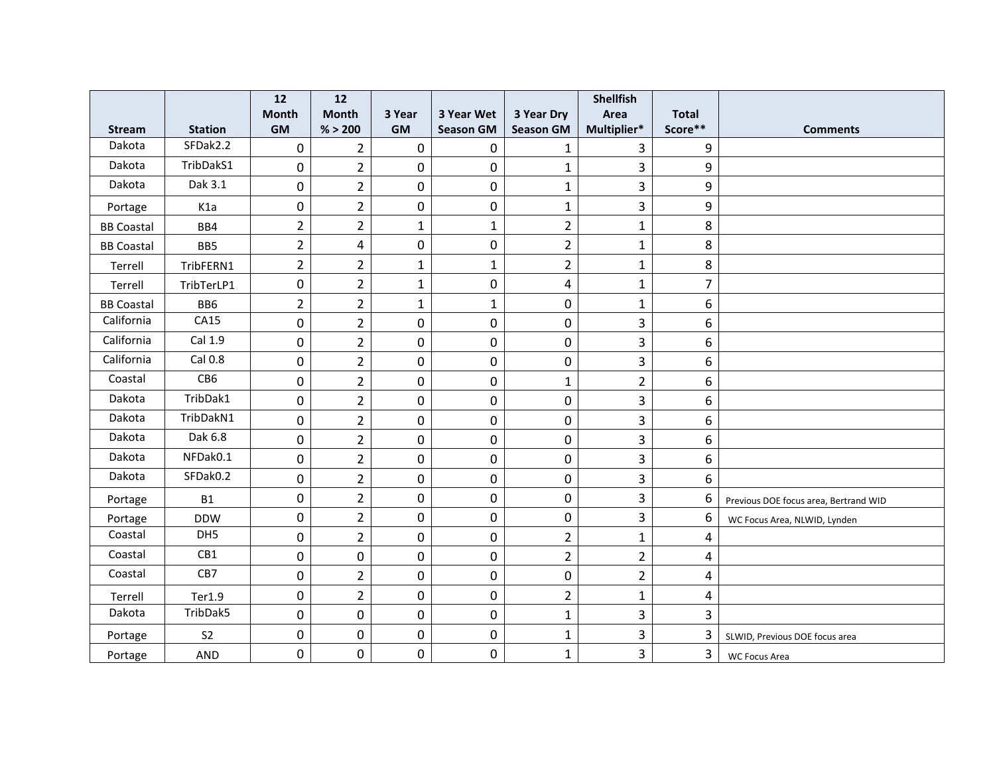|                   |                  | 12               | 12             |              |                  |                         | <b>Shellfish</b>        |                |                                       |
|-------------------|------------------|------------------|----------------|--------------|------------------|-------------------------|-------------------------|----------------|---------------------------------------|
|                   |                  | <b>Month</b>     | <b>Month</b>   | 3 Year       | 3 Year Wet       | 3 Year Dry              | Area                    | <b>Total</b>   |                                       |
| <b>Stream</b>     | <b>Station</b>   | <b>GM</b>        | % > 200        | <b>GM</b>    | <b>Season GM</b> | <b>Season GM</b>        | Multiplier*             | Score**        | <b>Comments</b>                       |
| Dakota            | SFDak2.2         | $\mathbf 0$      | $\overline{2}$ | $\mathbf 0$  | $\boldsymbol{0}$ | $\mathbf{1}$            | 3                       | 9              |                                       |
| Dakota            | TribDakS1        | $\pmb{0}$        | $\overline{2}$ | 0            | $\mathbf 0$      | $\mathbf{1}$            | $\overline{\mathbf{3}}$ | 9              |                                       |
| Dakota            | Dak 3.1          | $\mathbf 0$      | $\overline{2}$ | 0            | $\mathbf 0$      | $\mathbf{1}$            | $\overline{3}$          | 9              |                                       |
| Portage           | K <sub>1</sub> a | $\mathbf 0$      | $\overline{2}$ | 0            | 0                | $\mathbf{1}$            | 3                       | 9              |                                       |
| <b>BB Coastal</b> | BB4              | $\overline{2}$   | $\overline{2}$ | $\mathbf{1}$ | $\mathbf{1}$     | $\overline{2}$          | $\mathbf{1}$            | 8              |                                       |
| <b>BB Coastal</b> | BB5              | $\overline{2}$   | 4              | 0            | $\pmb{0}$        | $\overline{2}$          | $\mathbf{1}$            | 8              |                                       |
| Terrell           | TribFERN1        | $\overline{2}$   | $\overline{2}$ | $\mathbf 1$  | $\mathbf{1}$     | $\overline{2}$          | $\mathbf{1}$            | 8              |                                       |
| Terrell           | TribTerLP1       | $\pmb{0}$        | $\overline{2}$ | $\mathbf{1}$ | 0                | $\overline{\mathbf{4}}$ | $\mathbf{1}$            | $\overline{7}$ |                                       |
| <b>BB Coastal</b> | BB6              | $\overline{2}$   | $\overline{2}$ | $\mathbf{1}$ | $\mathbf{1}$     | 0                       | $\mathbf{1}$            | 6              |                                       |
| California        | CA15             | $\pmb{0}$        | $\overline{2}$ | $\pmb{0}$    | $\pmb{0}$        | $\pmb{0}$               | 3                       | 6              |                                       |
| California        | Cal 1.9          | $\mathbf 0$      | $\overline{2}$ | 0            | $\mathbf 0$      | 0                       | 3                       | 6              |                                       |
| California        | Cal 0.8          | 0                | $\overline{2}$ | 0            | 0                | 0                       | 3                       | 6              |                                       |
| Coastal           | CB6              | $\boldsymbol{0}$ | $\overline{2}$ | 0            | $\mathbf 0$      | $\mathbf{1}$            | $\overline{2}$          | 6              |                                       |
| Dakota            | TribDak1         | $\pmb{0}$        | $\overline{2}$ | $\pmb{0}$    | $\boldsymbol{0}$ | 0                       | 3                       | 6              |                                       |
| Dakota            | TribDakN1        | $\mathbf 0$      | $\overline{2}$ | 0            | $\mathbf 0$      | 0                       | $\overline{3}$          | 6              |                                       |
| Dakota            | Dak 6.8          | $\mathbf 0$      | $\overline{2}$ | 0            | 0                | 0                       | 3                       | 6              |                                       |
| Dakota            | NFDak0.1         | $\pmb{0}$        | $\overline{2}$ | 0            | $\boldsymbol{0}$ | 0                       | $\overline{\mathbf{3}}$ | 6              |                                       |
| Dakota            | SFDak0.2         | $\pmb{0}$        | $\overline{2}$ | 0            | $\boldsymbol{0}$ | 0                       | 3                       | 6              |                                       |
| Portage           | <b>B1</b>        | $\mathbf 0$      | $\overline{2}$ | 0            | 0                | 0                       | $\overline{3}$          | 6              | Previous DOE focus area, Bertrand WID |
| Portage           | <b>DDW</b>       | $\mathbf 0$      | $\overline{2}$ | $\mathbf 0$  | $\mathbf 0$      | 0                       | $\overline{3}$          | 6              | WC Focus Area, NLWID, Lynden          |
| Coastal           | DH5              | $\boldsymbol{0}$ | $\overline{2}$ | $\pmb{0}$    | $\pmb{0}$        | $\overline{2}$          | $\mathbf{1}$            | 4              |                                       |
| Coastal           | CB1              | $\pmb{0}$        | $\mathbf 0$    | $\mathbf 0$  | 0                | $\overline{2}$          | $\overline{2}$          | 4              |                                       |
| Coastal           | CB7              | $\pmb{0}$        | $\overline{2}$ | $\mathbf 0$  | 0                | 0                       | $\overline{2}$          | 4              |                                       |
| Terrell           | Ter1.9           | $\pmb{0}$        | $\overline{2}$ | 0            | $\pmb{0}$        | $\overline{2}$          | $\mathbf{1}$            | 4              |                                       |
| Dakota            | TribDak5         | $\pmb{0}$        | $\mathbf 0$    | 0            | $\boldsymbol{0}$ | $\mathbf{1}$            | 3                       | $\overline{3}$ |                                       |
| Portage           | S <sub>2</sub>   | $\pmb{0}$        | $\pmb{0}$      | 0            | $\boldsymbol{0}$ | $\mathbf{1}$            | 3                       | 3              | SLWID, Previous DOE focus area        |
| Portage           | AND              | $\mathbf 0$      | $\mathbf 0$    | 0            | 0                | $\mathbf{1}$            | 3                       | $\overline{3}$ | <b>WC Focus Area</b>                  |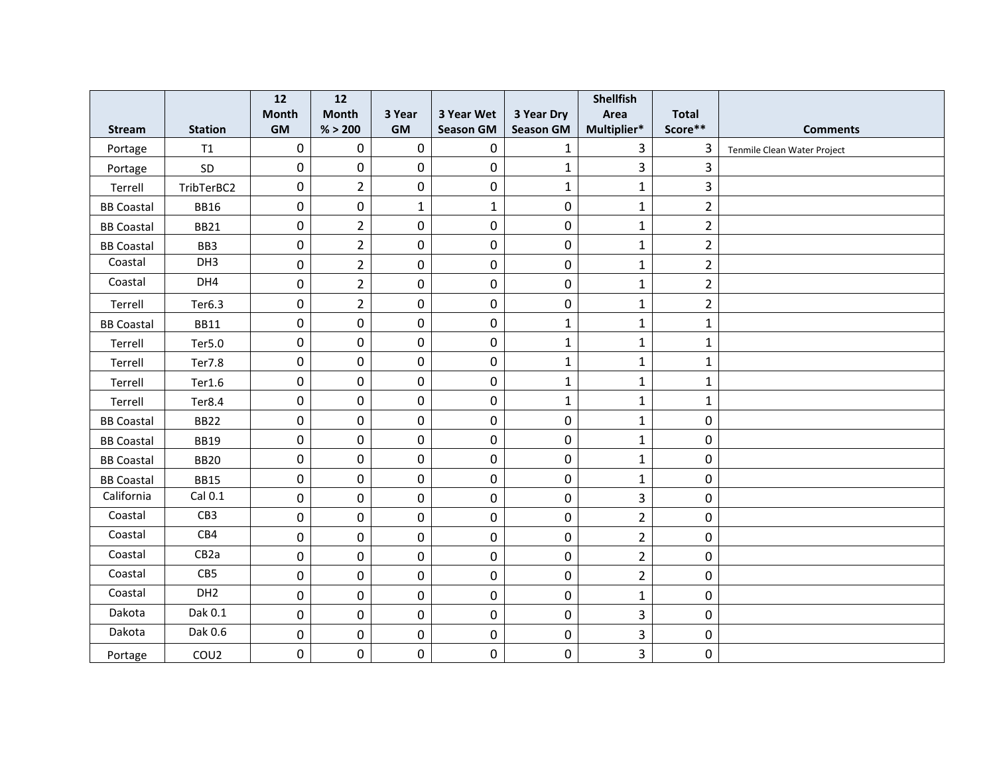|                   |                   | 12               | 12             |              |                  |                  | <b>Shellfish</b>        |                |                             |
|-------------------|-------------------|------------------|----------------|--------------|------------------|------------------|-------------------------|----------------|-----------------------------|
|                   |                   | <b>Month</b>     | <b>Month</b>   | 3 Year       | 3 Year Wet       | 3 Year Dry       | Area                    | <b>Total</b>   |                             |
| <b>Stream</b>     | <b>Station</b>    | <b>GM</b>        | % > 200        | <b>GM</b>    | <b>Season GM</b> | <b>Season GM</b> | Multiplier*             | Score**        | <b>Comments</b>             |
| Portage           | T1                | $\pmb{0}$        | $\mathbf 0$    | $\mathbf 0$  | $\boldsymbol{0}$ | $\mathbf{1}$     | $\overline{3}$          | 3              | Tenmile Clean Water Project |
| Portage           | SD                | $\boldsymbol{0}$ | $\pmb{0}$      | 0            | $\pmb{0}$        | $\mathbf 1$      | $\overline{\mathbf{3}}$ | $\overline{3}$ |                             |
| Terrell           | TribTerBC2        | $\mathbf 0$      | $\overline{2}$ | $\mathbf 0$  | $\mathbf 0$      | $\mathbf{1}$     | $\mathbf{1}$            | $\overline{3}$ |                             |
| <b>BB Coastal</b> | <b>BB16</b>       | $\pmb{0}$        | $\overline{0}$ | $\mathbf{1}$ | $\mathbf{1}$     | 0                | $\mathbf{1}$            | $\overline{2}$ |                             |
| <b>BB Coastal</b> | <b>BB21</b>       | 0                | $\overline{2}$ | 0            | 0                | 0                | $\mathbf{1}$            | $\overline{2}$ |                             |
| <b>BB Coastal</b> | BB3               | $\pmb{0}$        | $\overline{2}$ | $\pmb{0}$    | $\pmb{0}$        | $\pmb{0}$        | $\mathbf 1$             | $\overline{2}$ |                             |
| Coastal           | DH3               | $\mathbf 0$      | $\overline{2}$ | $\mathbf 0$  | 0                | 0                | $\mathbf{1}$            | $\overline{2}$ |                             |
| Coastal           | DH4               | $\pmb{0}$        | $\overline{2}$ | $\mathbf 0$  | 0                | 0                | $\mathbf{1}$            | $\overline{2}$ |                             |
| Terrell           | Ter6.3            | $\pmb{0}$        | $\overline{2}$ | $\pmb{0}$    | $\pmb{0}$        | 0                | $\mathbf{1}$            | $\overline{2}$ |                             |
| <b>BB Coastal</b> | <b>BB11</b>       | $\pmb{0}$        | $\pmb{0}$      | $\pmb{0}$    | $\pmb{0}$        | $\mathbf{1}$     | $\mathbf{1}$            | $\mathbf{1}$   |                             |
| Terrell           | Ter5.0            | $\mathbf 0$      | $\mathbf 0$    | 0            | $\mathbf 0$      | $\mathbf{1}$     | $\mathbf{1}$            | $\mathbf{1}$   |                             |
| Terrell           | Ter7.8            | $\mathbf 0$      | $\mathbf 0$    | $\mathbf 0$  | $\pmb{0}$        | $\mathbf{1}$     | $\mathbf{1}$            | $\mathbf{1}$   |                             |
| Terrell           | Ter1.6            | $\pmb{0}$        | $\pmb{0}$      | 0            | $\pmb{0}$        | $\mathbf{1}$     | $\mathbf 1$             | $\mathbf{1}$   |                             |
| Terrell           | Ter8.4            | $\pmb{0}$        | $\pmb{0}$      | $\pmb{0}$    | $\pmb{0}$        | $\mathbf{1}$     | $\mathbf{1}$            | $\mathbf{1}$   |                             |
| <b>BB Coastal</b> | <b>BB22</b>       | $\mathbf 0$      | $\mathbf 0$    | 0            | $\mathbf 0$      | 0                | $\mathbf{1}$            | 0              |                             |
| <b>BB Coastal</b> | <b>BB19</b>       | $\mathbf 0$      | $\mathbf 0$    | $\mathbf 0$  | 0                | 0                | $\mathbf{1}$            | 0              |                             |
| <b>BB Coastal</b> | <b>BB20</b>       | $\boldsymbol{0}$ | $\mathbf 0$    | 0            | $\boldsymbol{0}$ | 0                | $\mathbf{1}$            | 0              |                             |
| <b>BB Coastal</b> | <b>BB15</b>       | $\pmb{0}$        | $\mathbf 0$    | 0            | $\boldsymbol{0}$ | 0                | $\mathbf{1}$            | 0              |                             |
| California        | Cal 0.1           | $\pmb{0}$        | $\mathbf 0$    | 0            | $\mathbf 0$      | 0                | $\overline{3}$          | 0              |                             |
| Coastal           | CB3               | $\pmb{0}$        | $\mathbf 0$    | $\mathbf 0$  | $\mathbf 0$      | 0                | $\overline{2}$          | 0              |                             |
| Coastal           | CB4               | $\boldsymbol{0}$ | $\mathbf 0$    | $\pmb{0}$    | $\pmb{0}$        | $\mathbf 0$      | $\overline{2}$          | 0              |                             |
| Coastal           | CB <sub>2</sub> a | $\pmb{0}$        | $\mathbf 0$    | $\pmb{0}$    | 0                | 0                | $\overline{2}$          | 0              |                             |
| Coastal           | CB5               | $\pmb{0}$        | $\mathbf 0$    | $\mathbf 0$  | 0                | 0                | $\overline{2}$          | 0              |                             |
| Coastal           | DH <sub>2</sub>   | $\pmb{0}$        | $\mathbf 0$    | 0            | $\pmb{0}$        | 0                | $\mathbf{1}$            | 0              |                             |
| Dakota            | Dak 0.1           | $\pmb{0}$        | $\mathbf 0$    | 0            | $\pmb{0}$        | $\pmb{0}$        | 3                       | 0              |                             |
| Dakota            | Dak 0.6           | $\pmb{0}$        | $\pmb{0}$      | 0            | $\mathbf 0$      | 0                | 3                       | 0              |                             |
| Portage           | COU <sub>2</sub>  | $\mathbf 0$      | $\mathbf 0$    | 0            | 0                | 0                | 3                       | 0              |                             |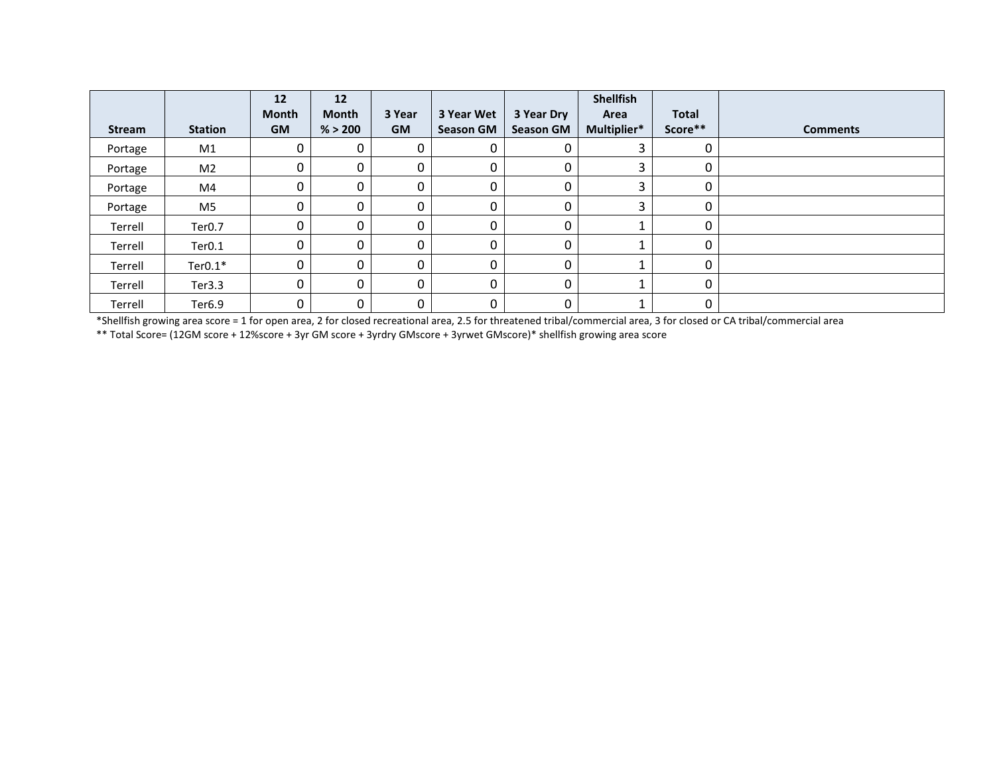|               |                    | 12           | 12           |           |                  |                  | <b>Shellfish</b> |              |                 |
|---------------|--------------------|--------------|--------------|-----------|------------------|------------------|------------------|--------------|-----------------|
|               |                    | <b>Month</b> | Month        | 3 Year    | 3 Year Wet       | 3 Year Dry       | Area             | <b>Total</b> |                 |
| <b>Stream</b> | <b>Station</b>     | <b>GM</b>    | % > 200      | <b>GM</b> | <b>Season GM</b> | <b>Season GM</b> | Multiplier*      | Score**      | <b>Comments</b> |
| Portage       | M1                 | 0            | 0            | 0         |                  |                  | 3                | 0            |                 |
| Portage       | M <sub>2</sub>     | 0            | $\Omega$     | 0         | 0                |                  | 3                | 0            |                 |
| Portage       | M4                 | 0            | $\mathbf{0}$ | 0         |                  |                  | 3                | 0            |                 |
| Portage       | M5                 | 0            | 0            | 0         | 0                |                  | 3                | 0            |                 |
| Terrell       | Ter <sub>0.7</sub> | 0            | $\Omega$     | 0         | 0                |                  |                  | 0            |                 |
| Terrell       | Ter <sub>0.1</sub> | 0            | $\Omega$     | 0         | 0                | 0                |                  | 0            |                 |
| Terrell       | Ter $0.1*$         | 0            | 0            | 0         |                  | 0                |                  | 0            |                 |
| Terrell       | Ter3.3             | 0            | 0            | 0         | 0                | 0                |                  | 0            |                 |
| Terrell       | Ter6.9             | 0            | 0            | 0         | 0                | 0                | Ŧ.               | 0            |                 |

\*Shellfish growing area score = 1 for open area, 2 for closed recreational area, 2.5 for threatened tribal/commercial area, 3 for closed or CA tribal/commercial area

\*\* Total Score= (12GM score + 12%score + 3yr GM score + 3yrdry GMscore + 3yrwet GMscore)\* shellfish growing area score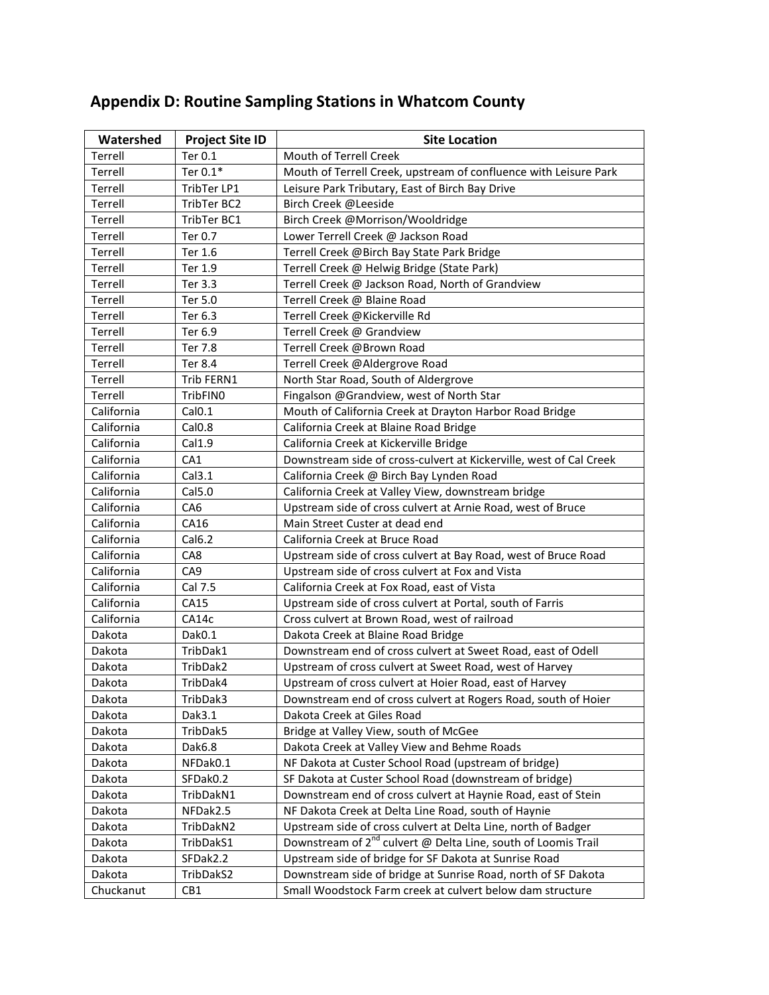| Watershed  | <b>Project Site ID</b> | <b>Site Location</b>                                                      |
|------------|------------------------|---------------------------------------------------------------------------|
| Terrell    | Ter 0.1                | Mouth of Terrell Creek                                                    |
| Terrell    | Ter 0.1*               | Mouth of Terrell Creek, upstream of confluence with Leisure Park          |
| Terrell    | TribTer LP1            | Leisure Park Tributary, East of Birch Bay Drive                           |
| Terrell    | TribTer BC2            | Birch Creek @Leeside                                                      |
| Terrell    | TribTer BC1            | Birch Creek @Morrison/Wooldridge                                          |
| Terrell    | Ter 0.7                | Lower Terrell Creek @ Jackson Road                                        |
| Terrell    | Ter 1.6                | Terrell Creek @Birch Bay State Park Bridge                                |
| Terrell    | Ter 1.9                | Terrell Creek @ Helwig Bridge (State Park)                                |
| Terrell    | Ter 3.3                | Terrell Creek @ Jackson Road, North of Grandview                          |
| Terrell    | Ter 5.0                | Terrell Creek @ Blaine Road                                               |
| Terrell    | Ter 6.3                | Terrell Creek @Kickerville Rd                                             |
| Terrell    | Ter 6.9                | Terrell Creek @ Grandview                                                 |
| Terrell    | Ter 7.8                | Terrell Creek @Brown Road                                                 |
| Terrell    | Ter 8.4                | Terrell Creek @Aldergrove Road                                            |
| Terrell    | Trib FERN1             | North Star Road, South of Aldergrove                                      |
| Terrell    | TribFIN0               | Fingalson @Grandview, west of North Star                                  |
| California | Cal <sub>0.1</sub>     | Mouth of California Creek at Drayton Harbor Road Bridge                   |
| California | Cal <sub>0.8</sub>     | California Creek at Blaine Road Bridge                                    |
| California | Cal1.9                 | California Creek at Kickerville Bridge                                    |
| California | CA1                    | Downstream side of cross-culvert at Kickerville, west of Cal Creek        |
| California | Cal3.1                 | California Creek @ Birch Bay Lynden Road                                  |
| California | Cal5.0                 | California Creek at Valley View, downstream bridge                        |
| California | CA <sub>6</sub>        | Upstream side of cross culvert at Arnie Road, west of Bruce               |
| California | CA16                   | Main Street Custer at dead end                                            |
| California | Cal6.2                 | California Creek at Bruce Road                                            |
| California | CA8                    | Upstream side of cross culvert at Bay Road, west of Bruce Road            |
| California | CA <sub>9</sub>        | Upstream side of cross culvert at Fox and Vista                           |
| California | Cal 7.5                | California Creek at Fox Road, east of Vista                               |
| California | CA15                   | Upstream side of cross culvert at Portal, south of Farris                 |
| California | CA14c                  | Cross culvert at Brown Road, west of railroad                             |
| Dakota     | Dak0.1                 | Dakota Creek at Blaine Road Bridge                                        |
| Dakota     | TribDak1               | Downstream end of cross culvert at Sweet Road, east of Odell              |
| Dakota     | TribDak2               | Upstream of cross culvert at Sweet Road, west of Harvey                   |
| Dakota     | TribDak4               | Upstream of cross culvert at Hoier Road, east of Harvey                   |
| Dakota     | TribDak3               | Downstream end of cross culvert at Rogers Road, south of Hoier            |
| Dakota     | Dak3.1                 | Dakota Creek at Giles Road                                                |
| Dakota     | TribDak5               | Bridge at Valley View, south of McGee                                     |
| Dakota     | Dak6.8                 | Dakota Creek at Valley View and Behme Roads                               |
| Dakota     | NFDak0.1               | NF Dakota at Custer School Road (upstream of bridge)                      |
| Dakota     | SFDak0.2               | SF Dakota at Custer School Road (downstream of bridge)                    |
| Dakota     | TribDakN1              | Downstream end of cross culvert at Haynie Road, east of Stein             |
| Dakota     | NFDak2.5               | NF Dakota Creek at Delta Line Road, south of Haynie                       |
| Dakota     | TribDakN2              | Upstream side of cross culvert at Delta Line, north of Badger             |
| Dakota     | TribDakS1              | Downstream of 2 <sup>nd</sup> culvert @ Delta Line, south of Loomis Trail |
| Dakota     | SFDak2.2               | Upstream side of bridge for SF Dakota at Sunrise Road                     |
| Dakota     | TribDakS2              | Downstream side of bridge at Sunrise Road, north of SF Dakota             |
| Chuckanut  | CB1                    | Small Woodstock Farm creek at culvert below dam structure                 |

# **Appendix D: Routine Sampling Stations in Whatcom County**